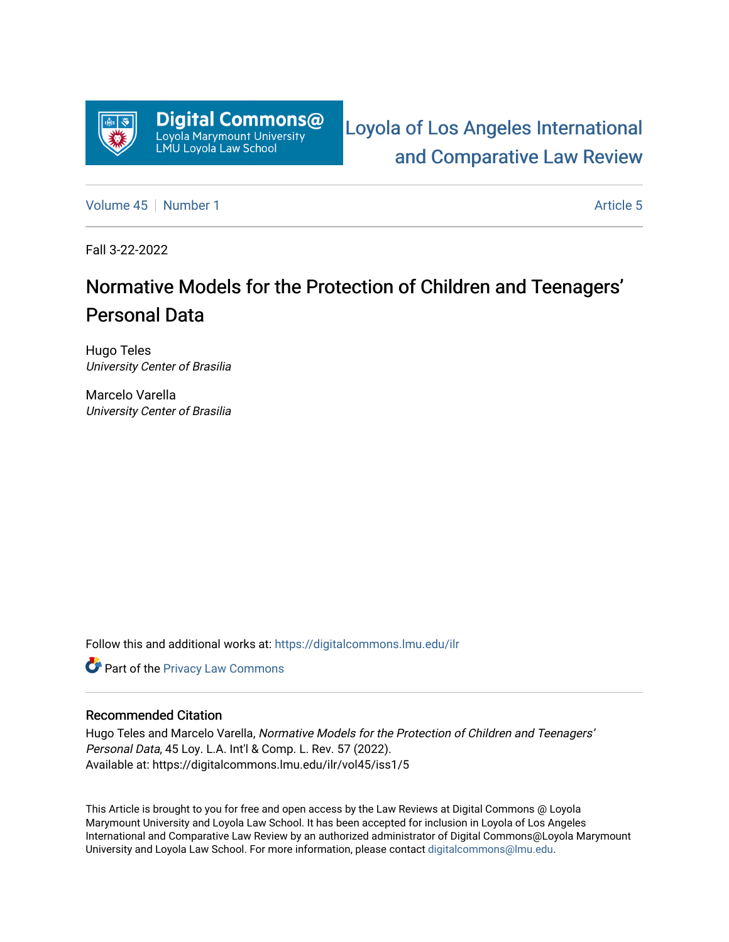

[Loyola of Los Angeles International](https://digitalcommons.lmu.edu/ilr)  [and Comparative Law Review](https://digitalcommons.lmu.edu/ilr) 

[Volume 45](https://digitalcommons.lmu.edu/ilr/vol45) [Number 1](https://digitalcommons.lmu.edu/ilr/vol45/iss1) [Article 5](https://digitalcommons.lmu.edu/ilr/vol45/iss1/5) Article 5

Fall 3-22-2022

# Normative Models for the Protection of Children and Teenagers' Personal Data

Hugo Teles University Center of Brasilia

Marcelo Varella University Center of Brasilia

Follow this and additional works at: [https://digitalcommons.lmu.edu/ilr](https://digitalcommons.lmu.edu/ilr?utm_source=digitalcommons.lmu.edu%2Filr%2Fvol45%2Fiss1%2F5&utm_medium=PDF&utm_campaign=PDFCoverPages) 

**Part of the Privacy Law Commons** 

# Recommended Citation

Hugo Teles and Marcelo Varella, Normative Models for the Protection of Children and Teenagers' Personal Data, 45 Loy. L.A. Int'l & Comp. L. Rev. 57 (2022). Available at: https://digitalcommons.lmu.edu/ilr/vol45/iss1/5

This Article is brought to you for free and open access by the Law Reviews at Digital Commons @ Loyola Marymount University and Loyola Law School. It has been accepted for inclusion in Loyola of Los Angeles International and Comparative Law Review by an authorized administrator of Digital Commons@Loyola Marymount University and Loyola Law School. For more information, please contact [digitalcommons@lmu.edu.](mailto:digitalcommons@lmu.edu)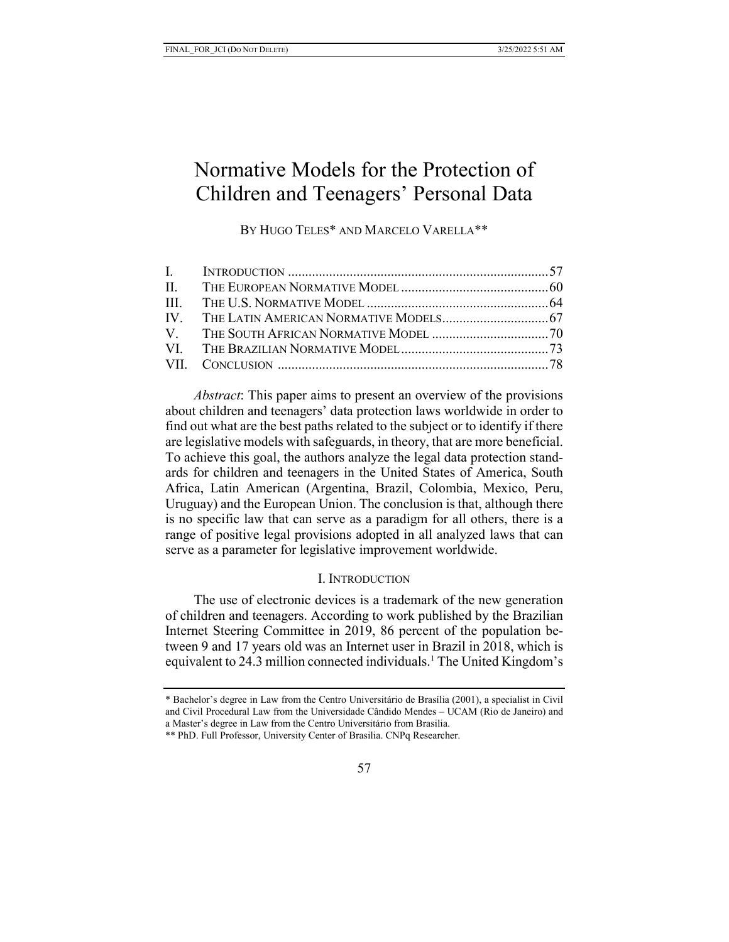# Normative Models for the Protection of Children and Teenagers' Personal Data

BY HUGO TELES<sup>\*</sup> AND MARCELO VARELLA<sup>\*\*</sup>

*Abstract*: This paper aims to present an overview of the provisions about children and teenagers' data protection laws worldwide in order to find out what are the best paths related to the subject or to identify if there are legislative models with safeguards, in theory, that are more beneficial. To achieve this goal, the authors analyze the legal data protection standards for children and teenagers in the United States of America, South Africa, Latin American (Argentina, Brazil, Colombia, Mexico, Peru, Uruguay) and the European Union. The conclusion is that, although there is no specific law that can serve as a paradigm for all others, there is a range of positive legal provisions adopted in all analyzed laws that can serve as a parameter for legislative improvement worldwide.

## I. INTRODUCTION

The use of electronic devices is a trademark of the new generation of children and teenagers. According to work published by the Brazilian Internet Steering Committee in 2019, 86 percent of the population between 9 and 17 years old was an Internet user in Brazil in 2018, which is equivalent to 24.3 million connected individuals. [1](#page-1-0) The United Kingdom's

<span id="page-1-0"></span><sup>\*</sup> Bachelor's degree in Law from the Centro Universitário de Brasília (2001), a specialist in Civil and Civil Procedural Law from the Universidade Cândido Mendes – UCAM (Rio de Janeiro) and a Master's degree in Law from the Centro Universitário from Brasilia.

<sup>\*\*</sup> PhD. Full Professor, University Center of Brasilia. CNPq Researcher.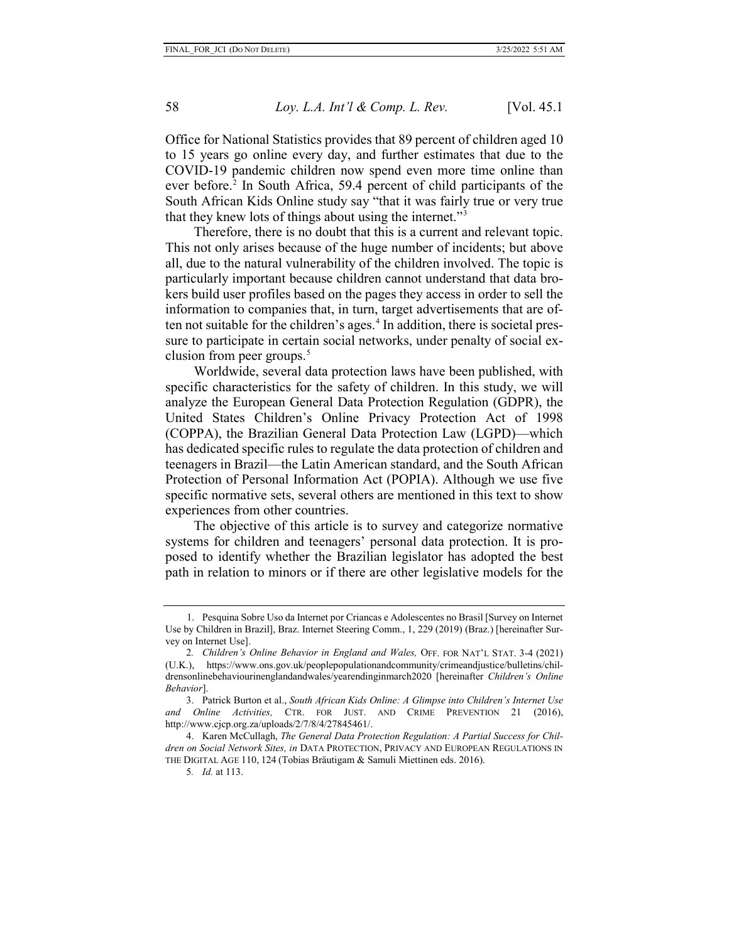Office for National Statistics provides that 89 percent of children aged 10 to 15 years go online every day, and further estimates that due to the COVID-19 pandemic children now spend even more time online than ever before. $2$  In South Africa, 59.4 percent of child participants of the South African Kids Online study say "that it was fairly true or very true that they knew lots of things about using the internet."[3](#page-2-1)

Therefore, there is no doubt that this is a current and relevant topic. This not only arises because of the huge number of incidents; but above all, due to the natural vulnerability of the children involved. The topic is particularly important because children cannot understand that data brokers build user profiles based on the pages they access in order to sell the information to companies that, in turn, target advertisements that are often not suitable for the children's ages. [4](#page-2-2) In addition, there is societal pressure to participate in certain social networks, under penalty of social exclusion from peer groups. [5](#page-2-3)

Worldwide, several data protection laws have been published, with specific characteristics for the safety of children. In this study, we will analyze the European General Data Protection Regulation (GDPR), the United States Children's Online Privacy Protection Act of 1998 (COPPA), the Brazilian General Data Protection Law (LGPD)—which has dedicated specific rules to regulate the data protection of children and teenagers in Brazil—the Latin American standard, and the South African Protection of Personal Information Act (POPIA). Although we use five specific normative sets, several others are mentioned in this text to show experiences from other countries.

The objective of this article is to survey and categorize normative systems for children and teenagers' personal data protection. It is proposed to identify whether the Brazilian legislator has adopted the best path in relation to minors or if there are other legislative models for the

<sup>1.</sup> Pesquina Sobre Uso da Internet por Criancas e Adolescentes no Brasil [Survey on Internet Use by Children in Brazil], Braz. Internet Steering Comm., 1, 229 (2019) (Braz.) [hereinafter Survey on Internet Use].

<span id="page-2-0"></span><sup>2</sup>*. Children's Online Behavior in England and Wales,* OFF. FOR NAT'L STAT. 3-4 (2021) (U.K.), https://www.ons.gov.uk/peoplepopulationandcommunity/crimeandjustice/bulletins/childrensonlinebehaviourinenglandandwales/yearendinginmarch2020 [hereinafter *Children's Online Behavior*].

<span id="page-2-1"></span><sup>3.</sup> Patrick Burton et al., *South African Kids Online: A Glimpse into Children's Internet Use and Online Activities,* CTR. FOR JUST. AND CRIME PREVENTION 21 (2016), http://www.cjcp.org.za/uploads/2/7/8/4/27845461/.

<span id="page-2-3"></span><span id="page-2-2"></span><sup>4.</sup> Karen McCullagh, *The General Data Protection Regulation: A Partial Success for Children on Social Network Sites, in* DATA PROTECTION, PRIVACY AND EUROPEAN REGULATIONS IN THE DIGITAL AGE 110, 124 (Tobias Bräutigam & Samuli Miettinen eds. 2016).

<sup>5</sup>*. Id.* at 113.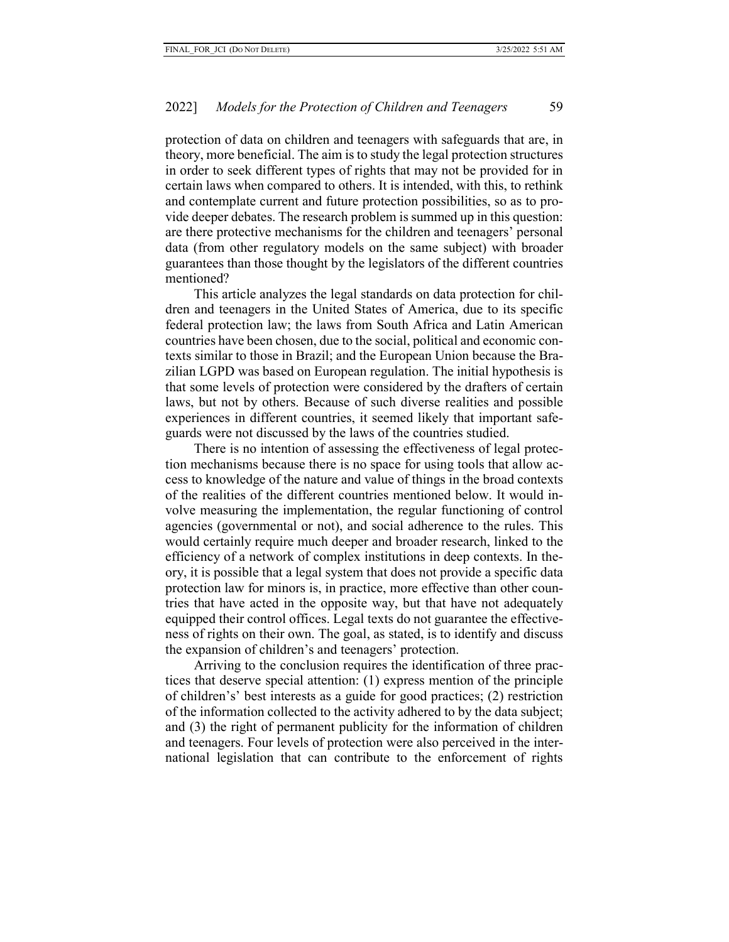protection of data on children and teenagers with safeguards that are, in theory, more beneficial. The aim is to study the legal protection structures in order to seek different types of rights that may not be provided for in certain laws when compared to others. It is intended, with this, to rethink and contemplate current and future protection possibilities, so as to provide deeper debates. The research problem is summed up in this question: are there protective mechanisms for the children and teenagers' personal data (from other regulatory models on the same subject) with broader guarantees than those thought by the legislators of the different countries mentioned?

This article analyzes the legal standards on data protection for children and teenagers in the United States of America, due to its specific federal protection law; the laws from South Africa and Latin American countries have been chosen, due to the social, political and economic contexts similar to those in Brazil; and the European Union because the Brazilian LGPD was based on European regulation. The initial hypothesis is that some levels of protection were considered by the drafters of certain laws, but not by others. Because of such diverse realities and possible experiences in different countries, it seemed likely that important safeguards were not discussed by the laws of the countries studied.

There is no intention of assessing the effectiveness of legal protection mechanisms because there is no space for using tools that allow access to knowledge of the nature and value of things in the broad contexts of the realities of the different countries mentioned below. It would involve measuring the implementation, the regular functioning of control agencies (governmental or not), and social adherence to the rules. This would certainly require much deeper and broader research, linked to the efficiency of a network of complex institutions in deep contexts. In theory, it is possible that a legal system that does not provide a specific data protection law for minors is, in practice, more effective than other countries that have acted in the opposite way, but that have not adequately equipped their control offices. Legal texts do not guarantee the effectiveness of rights on their own. The goal, as stated, is to identify and discuss the expansion of children's and teenagers' protection.

Arriving to the conclusion requires the identification of three practices that deserve special attention: (1) express mention of the principle of children's' best interests as a guide for good practices; (2) restriction of the information collected to the activity adhered to by the data subject; and (3) the right of permanent publicity for the information of children and teenagers. Four levels of protection were also perceived in the international legislation that can contribute to the enforcement of rights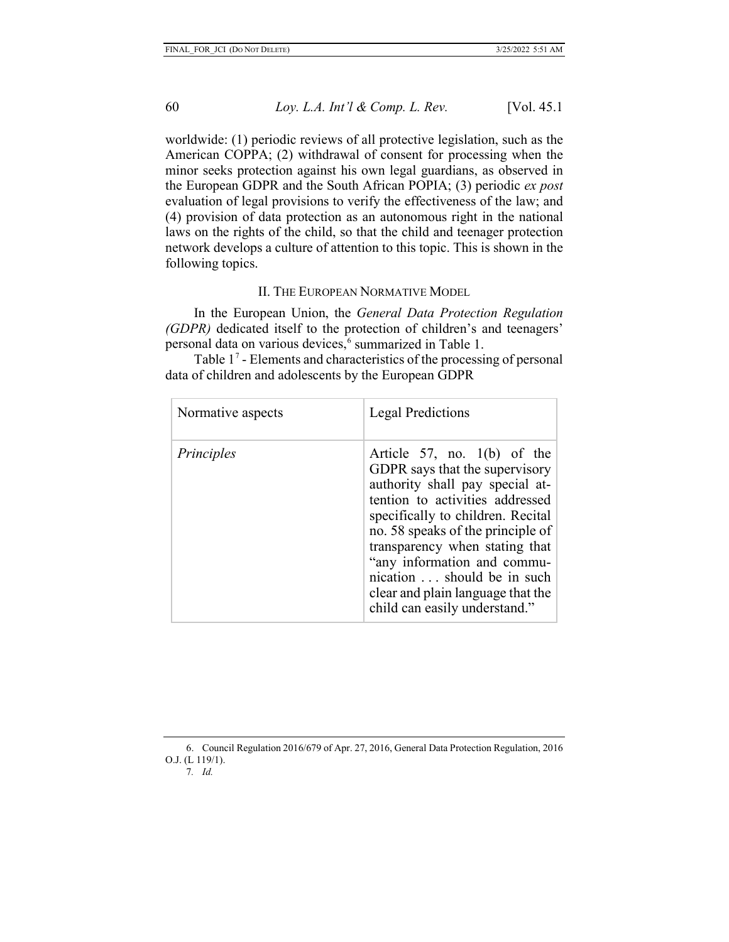worldwide: (1) periodic reviews of all protective legislation, such as the American COPPA; (2) withdrawal of consent for processing when the minor seeks protection against his own legal guardians, as observed in the European GDPR and the South African POPIA; (3) periodic *ex post* evaluation of legal provisions to verify the effectiveness of the law; and (4) provision of data protection as an autonomous right in the national laws on the rights of the child, so that the child and teenager protection network develops a culture of attention to this topic. This is shown in the following topics.

#### II. THE EUROPEAN NORMATIVE MODEL

In the European Union, the *General Data Protection Regulation (GDPR)* dedicated itself to the protection of children's and teenagers' personal data on various devices,<sup>[6](#page-4-0)</sup> summarized in Table 1.

Table  $1^7$  $1^7$  - Elements and characteristics of the processing of personal data of children and adolescents by the European GDPR

| Normative aspects | <b>Legal Predictions</b>                                                                                                                                                                                                                                                                                                                                                            |
|-------------------|-------------------------------------------------------------------------------------------------------------------------------------------------------------------------------------------------------------------------------------------------------------------------------------------------------------------------------------------------------------------------------------|
| Principles        | Article 57, no. 1(b) of the<br>GDPR says that the supervisory<br>authority shall pay special at-<br>tention to activities addressed<br>specifically to children. Recital<br>no. 58 speaks of the principle of<br>transparency when stating that<br>"any information and commu-<br>nication  should be in such<br>clear and plain language that the<br>child can easily understand." |

<span id="page-4-1"></span><span id="page-4-0"></span><sup>6.</sup> Council Regulation 2016/679 of Apr. 27, 2016, General Data Protection Regulation, 2016 O.J. (L 119/1).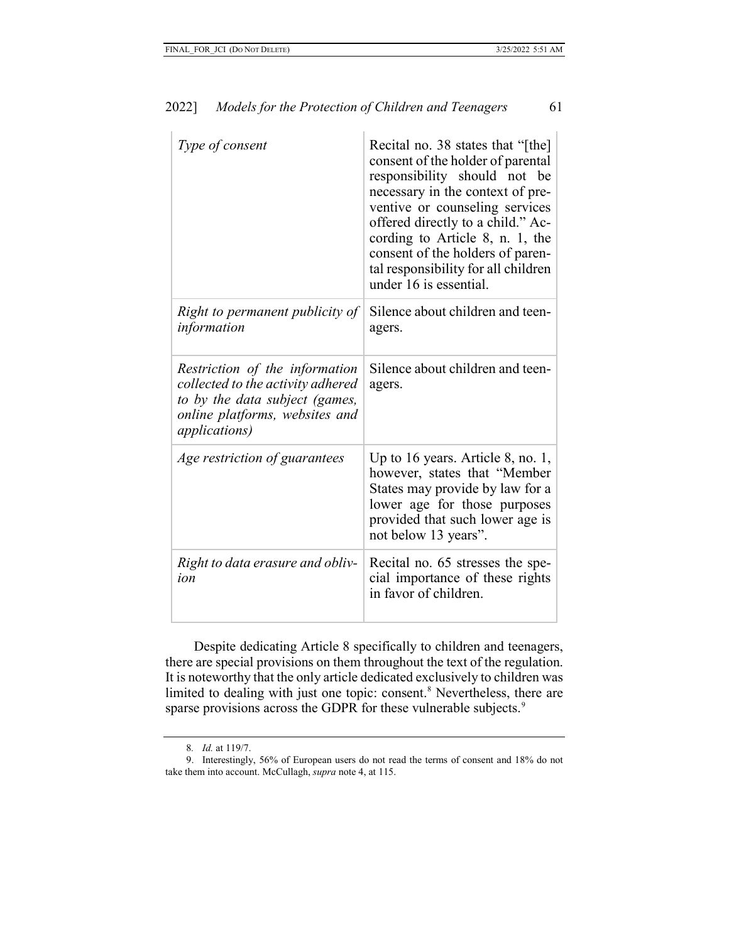| Type of consent                                                                                                                                                  | Recital no. 38 states that "[the]<br>consent of the holder of parental<br>responsibility should not be<br>necessary in the context of pre-<br>ventive or counseling services<br>offered directly to a child." Ac-<br>cording to Article 8, n. 1, the<br>consent of the holders of paren-<br>tal responsibility for all children<br>under 16 is essential. |
|------------------------------------------------------------------------------------------------------------------------------------------------------------------|-----------------------------------------------------------------------------------------------------------------------------------------------------------------------------------------------------------------------------------------------------------------------------------------------------------------------------------------------------------|
| Right to permanent publicity of<br>information                                                                                                                   | Silence about children and teen-<br>agers.                                                                                                                                                                                                                                                                                                                |
| Restriction of the information<br>collected to the activity adhered<br>to by the data subject (games,<br>online platforms, websites and<br><i>applications</i> ) | Silence about children and teen-<br>agers.                                                                                                                                                                                                                                                                                                                |
| Age restriction of guarantees                                                                                                                                    | Up to 16 years. Article 8, no. 1,<br>however, states that "Member<br>States may provide by law for a<br>lower age for those purposes<br>provided that such lower age is<br>not below 13 years".                                                                                                                                                           |
| Right to data erasure and obliv-<br>ion                                                                                                                          | Recital no. 65 stresses the spe-<br>cial importance of these rights<br>in favor of children.                                                                                                                                                                                                                                                              |

Despite dedicating Article 8 specifically to children and teenagers, there are special provisions on them throughout the text of the regulation. It is noteworthy that the only article dedicated exclusively to children was limited to dealing with just one topic: consent.<sup>[8](#page-5-0)</sup> Nevertheless, there are sparse provisions across the GDPR for these vulnerable subjects.<sup>[9](#page-5-1)</sup>

<sup>8</sup>*. Id.* at 119/7.

<span id="page-5-1"></span><span id="page-5-0"></span><sup>9.</sup> Interestingly, 56% of European users do not read the terms of consent and 18% do not take them into account. McCullagh, *supra* note 4, at 115.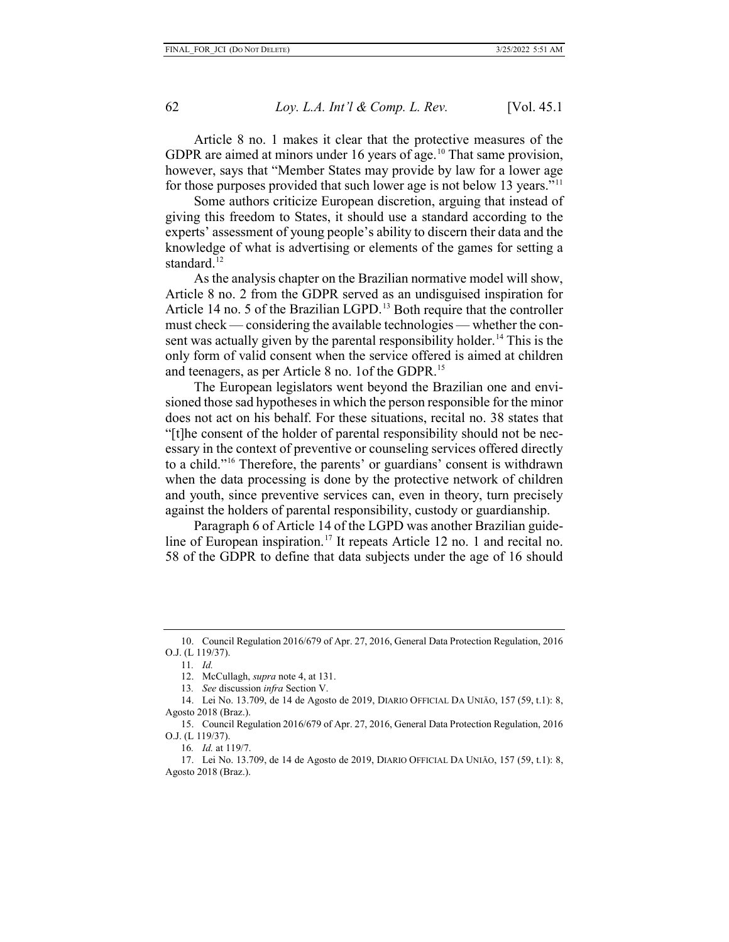Article 8 no. 1 makes it clear that the protective measures of the GDPR are aimed at minors under 16 years of age.<sup>[10](#page-6-0)</sup> That same provision, however, says that "Member States may provide by law for a lower age for those purposes provided that such lower age is not below 13 years."<sup>[11](#page-6-1)</sup>

Some authors criticize European discretion, arguing that instead of giving this freedom to States, it should use a standard according to the experts' assessment of young people's ability to discern their data and the knowledge of what is advertising or elements of the games for setting a standard.<sup>[12](#page-6-2)</sup>

As the analysis chapter on the Brazilian normative model will show, Article 8 no. 2 from the GDPR served as an undisguised inspiration for Article 14 no. 5 of the Brazilian LGPD. [13](#page-6-3) Both require that the controller must check — considering the available technologies — whether the con-sent was actually given by the parental responsibility holder.<sup>[14](#page-6-4)</sup> This is the only form of valid consent when the service offered is aimed at children and teenagers, as per Article 8 no. 1of the GDPR[.15](#page-6-5)

The European legislators went beyond the Brazilian one and envisioned those sad hypotheses in which the person responsible for the minor does not act on his behalf. For these situations, recital no. 38 states that "[t]he consent of the holder of parental responsibility should not be necessary in the context of preventive or counseling services offered directly to a child."[16](#page-6-6) Therefore, the parents' or guardians' consent is withdrawn when the data processing is done by the protective network of children and youth, since preventive services can, even in theory, turn precisely against the holders of parental responsibility, custody or guardianship.

Paragraph 6 of Article 14 of the LGPD was another Brazilian guide-line of European inspiration.<sup>[17](#page-6-7)</sup> It repeats Article 12 no. 1 and recital no. 58 of the GDPR to define that data subjects under the age of 16 should

<span id="page-6-1"></span><span id="page-6-0"></span><sup>10.</sup> Council Regulation 2016/679 of Apr. 27, 2016, General Data Protection Regulation, 2016 O.J. (L 119/37).

<sup>11</sup>*. Id.*

<sup>12.</sup> McCullagh, *supra* note 4, at 131.

<sup>13</sup>*. See* discussion *infra* Section V.

<span id="page-6-4"></span><span id="page-6-3"></span><span id="page-6-2"></span><sup>14.</sup> Lei No. 13.709, de 14 de Agosto de 2019, DIARIO OFFICIAL DA UNIĀO, 157 (59, t.1): 8, Agosto 2018 (Braz.).

<span id="page-6-5"></span><sup>15.</sup> Council Regulation 2016/679 of Apr. 27, 2016, General Data Protection Regulation, 2016 O.J. (L 119/37).

<sup>16</sup>*. Id.* at 119/7.

<span id="page-6-7"></span><span id="page-6-6"></span><sup>17.</sup> Lei No. 13.709, de 14 de Agosto de 2019, DIARIO OFFICIAL DA UNIĀO, 157 (59, t.1): 8, Agosto 2018 (Braz.).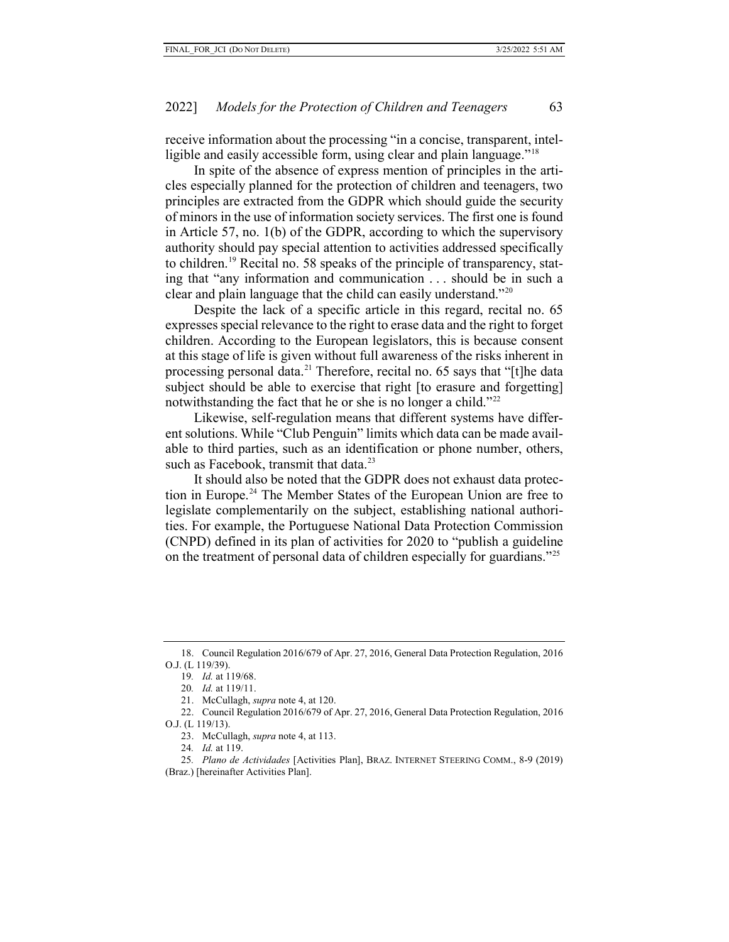receive information about the processing "in a concise, transparent, intel-ligible and easily accessible form, using clear and plain language."<sup>[18](#page-7-0)</sup>

In spite of the absence of express mention of principles in the articles especially planned for the protection of children and teenagers, two principles are extracted from the GDPR which should guide the security of minors in the use of information society services. The first one is found in Article 57, no. 1(b) of the GDPR, according to which the supervisory authority should pay special attention to activities addressed specifically to children.[19](#page-7-1) Recital no. 58 speaks of the principle of transparency, stating that "any information and communication . . . should be in such a clear and plain language that the child can easily understand."[20](#page-7-2)

Despite the lack of a specific article in this regard, recital no. 65 expresses special relevance to the right to erase data and the right to forget children. According to the European legislators, this is because consent at this stage of life is given without full awareness of the risks inherent in processing personal data.<sup>[21](#page-7-3)</sup> Therefore, recital no. 65 says that "[t]he data subject should be able to exercise that right [to erasure and forgetting] notwithstanding the fact that he or she is no longer a child."<sup>[22](#page-7-4)</sup>

Likewise, self-regulation means that different systems have different solutions. While "Club Penguin" limits which data can be made available to third parties, such as an identification or phone number, others, such as Facebook, transmit that data.<sup>[23](#page-7-5)</sup>

It should also be noted that the GDPR does not exhaust data protection in Europe.[24](#page-7-6) The Member States of the European Union are free to legislate complementarily on the subject, establishing national authorities. For example, the Portuguese National Data Protection Commission (CNPD) defined in its plan of activities for 2020 to "publish a guideline on the treatment of personal data of children especially for guardians."<sup>[25](#page-7-7)</sup>

<span id="page-7-1"></span><span id="page-7-0"></span><sup>18.</sup> Council Regulation 2016/679 of Apr. 27, 2016, General Data Protection Regulation, 2016 O.J. (L 119/39).

<sup>19</sup>*. Id.* at 119/68.

<sup>20</sup>*. Id.* at 119/11.

<sup>21.</sup> McCullagh, *supra* note 4, at 120.

<span id="page-7-5"></span><span id="page-7-4"></span><span id="page-7-3"></span><span id="page-7-2"></span><sup>22.</sup> Council Regulation 2016/679 of Apr. 27, 2016, General Data Protection Regulation, 2016 O.J. (L 119/13).

<sup>23.</sup> McCullagh, *supra* note 4, at 113.

<sup>24</sup>*. Id.* at 119.

<span id="page-7-7"></span><span id="page-7-6"></span><sup>25</sup>*. Plano de Actividades* [Activities Plan], BRAZ. INTERNET STEERING COMM., 8-9 (2019) (Braz.) [hereinafter Activities Plan].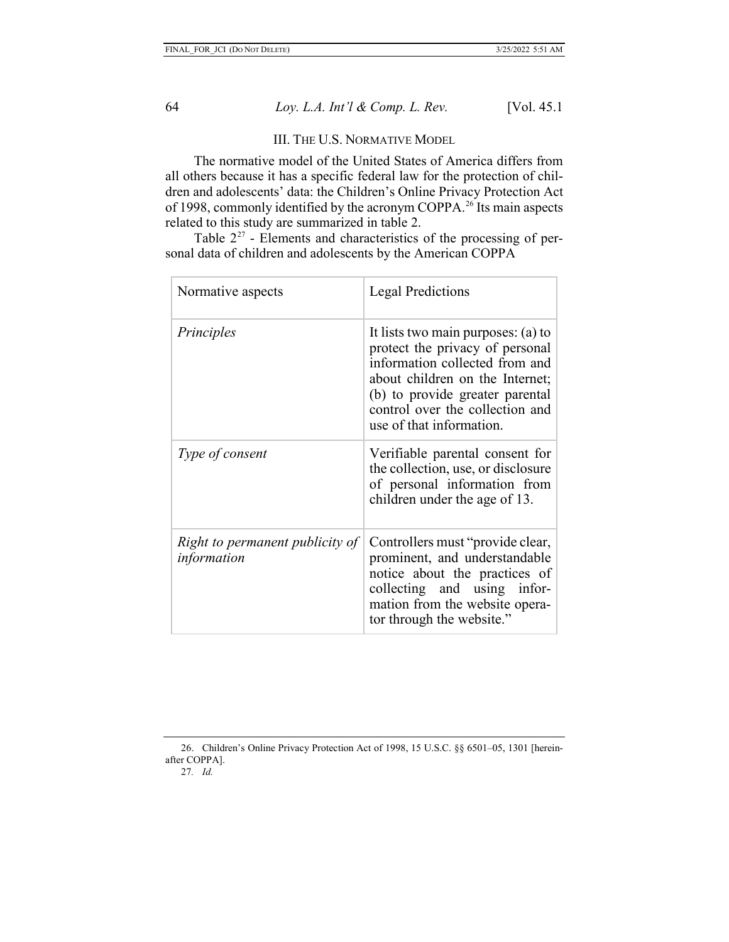#### III. THE U.S. NORMATIVE MODEL

The normative model of the United States of America differs from all others because it has a specific federal law for the protection of children and adolescents' data: the Children's Online Privacy Protection Act of 1998, commonly identified by the acronym COPPA.[26](#page-8-0) Its main aspects related to this study are summarized in table 2.

Table  $2^{27}$  $2^{27}$  $2^{27}$  - Elements and characteristics of the processing of personal data of children and adolescents by the American COPPA

| Normative aspects                              | <b>Legal Predictions</b>                                                                                                                                                                                                                     |
|------------------------------------------------|----------------------------------------------------------------------------------------------------------------------------------------------------------------------------------------------------------------------------------------------|
| Principles                                     | It lists two main purposes: (a) to<br>protect the privacy of personal<br>information collected from and<br>about children on the Internet;<br>(b) to provide greater parental<br>control over the collection and<br>use of that information. |
| Type of consent                                | Verifiable parental consent for<br>the collection, use, or disclosure<br>of personal information from<br>children under the age of 13.                                                                                                       |
| Right to permanent publicity of<br>information | Controllers must "provide clear,<br>prominent, and understandable<br>notice about the practices of<br>collecting and using infor-<br>mation from the website opera-<br>tor through the website."                                             |

<span id="page-8-1"></span><span id="page-8-0"></span><sup>26.</sup> Children's Online Privacy Protection Act of 1998, 15 U.S.C. §§ 6501–05, 1301 [hereinafter COPPA]. 27*. Id.*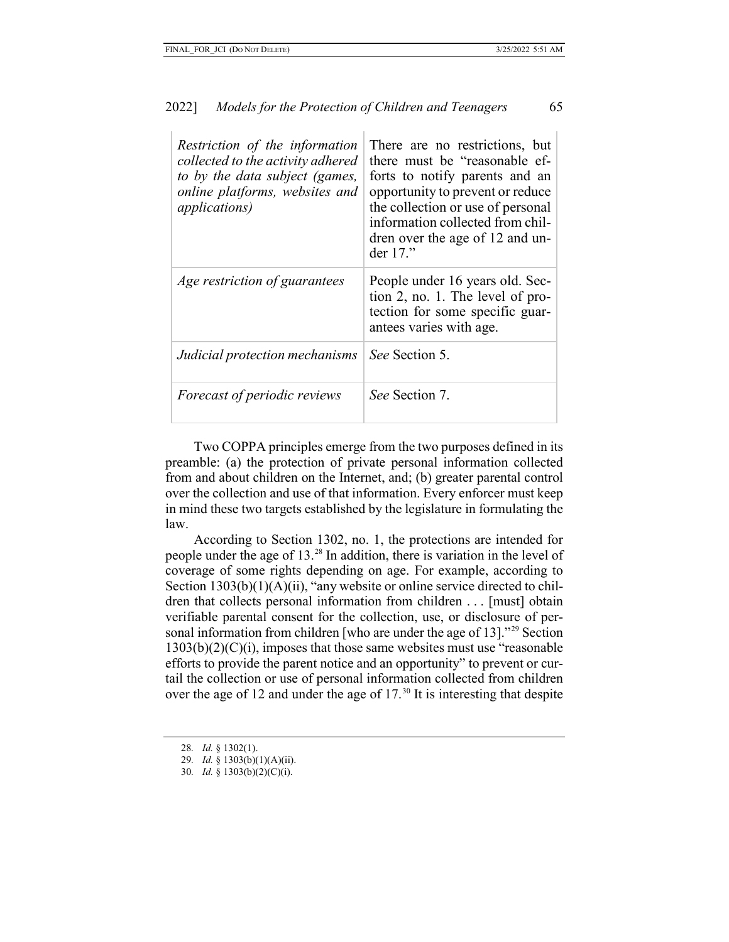| Restriction of the information<br>collected to the activity adhered<br>to by the data subject (games,<br>online platforms, websites and<br><i>applications</i> ) | There are no restrictions, but<br>there must be "reasonable ef-<br>forts to notify parents and an<br>opportunity to prevent or reduce<br>the collection or use of personal<br>information collected from chil-<br>dren over the age of 12 and un-<br>der 17." |
|------------------------------------------------------------------------------------------------------------------------------------------------------------------|---------------------------------------------------------------------------------------------------------------------------------------------------------------------------------------------------------------------------------------------------------------|
| Age restriction of guarantees                                                                                                                                    | People under 16 years old. Sec-<br>tion 2, no. 1. The level of pro-<br>tection for some specific guar-<br>antees varies with age.                                                                                                                             |
| Judicial protection mechanisms                                                                                                                                   | See Section 5.                                                                                                                                                                                                                                                |
| <i>Forecast of periodic reviews</i>                                                                                                                              | <i>See</i> Section 7.                                                                                                                                                                                                                                         |

Two COPPA principles emerge from the two purposes defined in its preamble: (a) the protection of private personal information collected from and about children on the Internet, and; (b) greater parental control over the collection and use of that information. Every enforcer must keep in mind these two targets established by the legislature in formulating the law.

According to Section 1302, no. 1, the protections are intended for people under the age of 13[.28](#page-9-0) In addition, there is variation in the level of coverage of some rights depending on age. For example, according to Section 1303(b)(1)(A)(ii), "any website or online service directed to children that collects personal information from children . . . [must] obtain verifiable parental consent for the collection, use, or disclosure of personal information from children [who are under the age of 13]."[29](#page-9-1) Section  $1303(b)(2)(C)(i)$ , imposes that those same websites must use "reasonable" efforts to provide the parent notice and an opportunity" to prevent or curtail the collection or use of personal information collected from children over the age of 12 and under the age of  $17<sup>30</sup>$  $17<sup>30</sup>$  $17<sup>30</sup>$  It is interesting that despite

<span id="page-9-1"></span><span id="page-9-0"></span><sup>28</sup>*. Id.* § 1302(1).

<sup>29</sup>*. Id.* § 1303(b)(1)(A)(ii).

<span id="page-9-2"></span><sup>30</sup>*. Id.* § 1303(b)(2)(C)(i).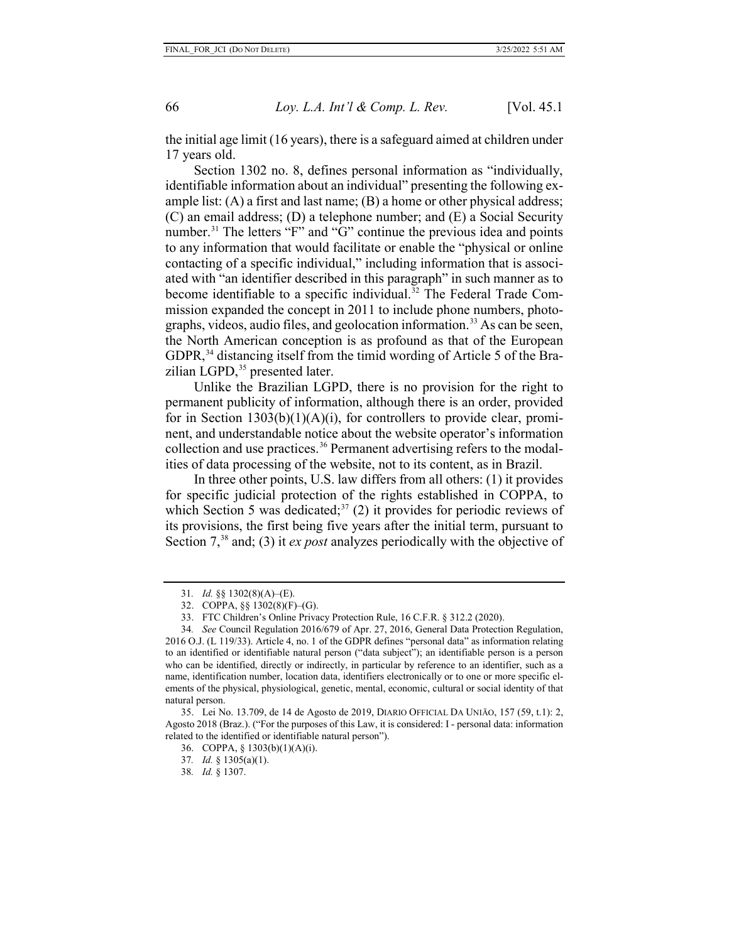the initial age limit (16 years), there is a safeguard aimed at children under 17 years old.

Section 1302 no. 8, defines personal information as "individually, identifiable information about an individual" presenting the following example list:  $(A)$  a first and last name;  $(B)$  a home or other physical address; (C) an email address; (D) a telephone number; and (E) a Social Security number.<sup>31</sup> The letters "F" and "G" continue the previous idea and points to any information that would facilitate or enable the "physical or online contacting of a specific individual," including information that is associated with "an identifier described in this paragraph" in such manner as to become identifiable to a specific individual. [32](#page-10-1) The Federal Trade Commission expanded the concept in 2011 to include phone numbers, photographs, videos, audio files, and geolocation information. [33](#page-10-2) As can be seen, the North American conception is as profound as that of the European GDPR,<sup>[34](#page-10-3)</sup> distancing itself from the timid wording of Article 5 of the Bra-zilian LGPD,<sup>[35](#page-10-4)</sup> presented later.

Unlike the Brazilian LGPD, there is no provision for the right to permanent publicity of information, although there is an order, provided for in Section  $1303(b)(1)(A)(i)$ , for controllers to provide clear, prominent, and understandable notice about the website operator's information collection and use practices.<sup>[36](#page-10-5)</sup> Permanent advertising refers to the modalities of data processing of the website, not to its content, as in Brazil.

In three other points, U.S. law differs from all others: (1) it provides for specific judicial protection of the rights established in COPPA, to which Section 5 was dedicated;<sup>[37](#page-10-6)</sup> (2) it provides for periodic reviews of its provisions, the first being five years after the initial term, pursuant to Section 7, [38](#page-10-7) and; (3) it *ex post* analyzes periodically with the objective of

<sup>31</sup>*. Id.* §§ 1302(8)(A)–(E).

<sup>32.</sup> COPPA, §§ 1302(8)(F)–(G).

<sup>33.</sup> FTC Children's Online Privacy Protection Rule, 16 C.F.R. § 312.2 (2020).

<span id="page-10-3"></span><span id="page-10-2"></span><span id="page-10-1"></span><span id="page-10-0"></span><sup>34</sup>*. See* Council Regulation 2016/679 of Apr. 27, 2016, General Data Protection Regulation, 2016 O.J. (L 119/33). Article 4, no. 1 of the GDPR defines "personal data" as information relating to an identified or identifiable natural person ("data subject"); an identifiable person is a person who can be identified, directly or indirectly, in particular by reference to an identifier, such as a name, identification number, location data, identifiers electronically or to one or more specific elements of the physical, physiological, genetic, mental, economic, cultural or social identity of that natural person.

<span id="page-10-7"></span><span id="page-10-6"></span><span id="page-10-5"></span><span id="page-10-4"></span><sup>35.</sup> Lei No. 13.709, de 14 de Agosto de 2019, DIARIO OFFICIAL DA UNIĀO, 157 (59, t.1): 2, Agosto 2018 (Braz.). ("For the purposes of this Law, it is considered: I - personal data: information related to the identified or identifiable natural person").

<sup>36.</sup> COPPA, § 1303(b)(1)(A)(i).

<sup>37</sup>*. Id.* § 1305(a)(1).

<sup>38</sup>*. Id.* § 1307.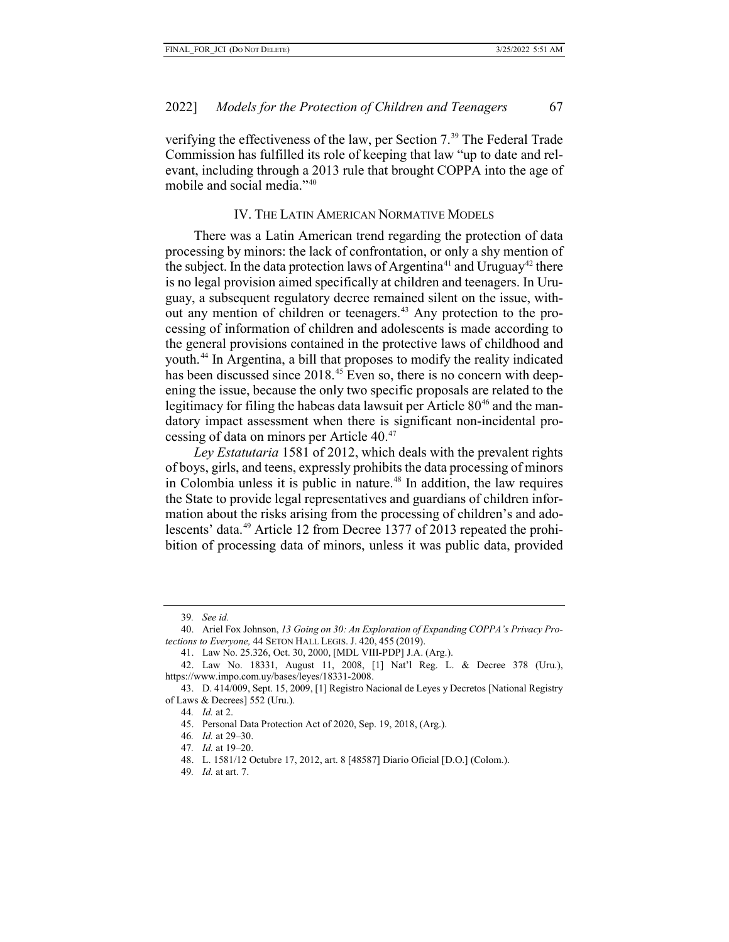verifying the effectiveness of the law, per Section 7.<sup>[39](#page-11-0)</sup> The Federal Trade Commission has fulfilled its role of keeping that law "up to date and relevant, including through a 2013 rule that brought COPPA into the age of mobile and social media."<sup>[40](#page-11-1)</sup>

#### IV. THE LATIN AMERICAN NORMATIVE MODELS

There was a Latin American trend regarding the protection of data processing by minors: the lack of confrontation, or only a shy mention of the subject. In the data protection laws of Argentina<sup>[41](#page-11-2)</sup> and Uruguay<sup>[42](#page-11-3)</sup> there is no legal provision aimed specifically at children and teenagers. In Uruguay, a subsequent regulatory decree remained silent on the issue, with-out any mention of children or teenagers.<sup>[43](#page-11-4)</sup> Any protection to the processing of information of children and adolescents is made according to the general provisions contained in the protective laws of childhood and youth.[44](#page-11-5) In Argentina, a bill that proposes to modify the reality indicated has been discussed since 2018.<sup>[45](#page-11-6)</sup> Even so, there is no concern with deepening the issue, because the only two specific proposals are related to the legitimacy for filing the habeas data lawsuit per Article  $80^{46}$  $80^{46}$  $80^{46}$  and the mandatory impact assessment when there is significant non-incidental processing of data on minors per Article 40. [47](#page-11-8)

*Ley Estatutaria* 1581 of 2012, which deals with the prevalent rights of boys, girls, and teens, expressly prohibits the data processing of minors in Colombia unless it is public in nature.<sup>[48](#page-11-9)</sup> In addition, the law requires the State to provide legal representatives and guardians of children information about the risks arising from the processing of children's and adolescents' data.[49](#page-11-10) Article 12 from Decree 1377 of 2013 repeated the prohibition of processing data of minors, unless it was public data, provided

<sup>39</sup>*. See id.*

<span id="page-11-1"></span><span id="page-11-0"></span><sup>40.</sup> Ariel Fox Johnson, *13 Going on 30: An Exploration of Expanding COPPA's Privacy Protections to Everyone,* 44 SETON HALL LEGIS. J. 420, 455 (2019).

<sup>41.</sup> Law No. 25.326, Oct. 30, 2000, [MDL VIII-PDP] J.A. (Arg.).

<span id="page-11-3"></span><span id="page-11-2"></span><sup>42.</sup> Law No. 18331, August 11, 2008, [1] Nat'l Reg. L. & Decree 378 (Uru.), https://www.impo.com.uy/bases/leyes/18331-2008.

<span id="page-11-9"></span><span id="page-11-8"></span><span id="page-11-7"></span><span id="page-11-6"></span><span id="page-11-5"></span><span id="page-11-4"></span><sup>43.</sup> D. 414/009, Sept. 15, 2009, [1] Registro Nacional de Leyes y Decretos [National Registry of Laws & Decrees] 552 (Uru.).

<sup>44</sup>*. Id.* at 2.

<sup>45.</sup> Personal Data Protection Act of 2020, Sep. 19, 2018, (Arg.).

<sup>46</sup>*. Id.* at 29–30.

<sup>47</sup>*. Id.* at 19–20.

<sup>48.</sup> L. 1581/12 Octubre 17, 2012, art. 8 [48587] Diario Oficial [D.O.] (Colom.).

<span id="page-11-10"></span><sup>49</sup>*. Id.* at art. 7.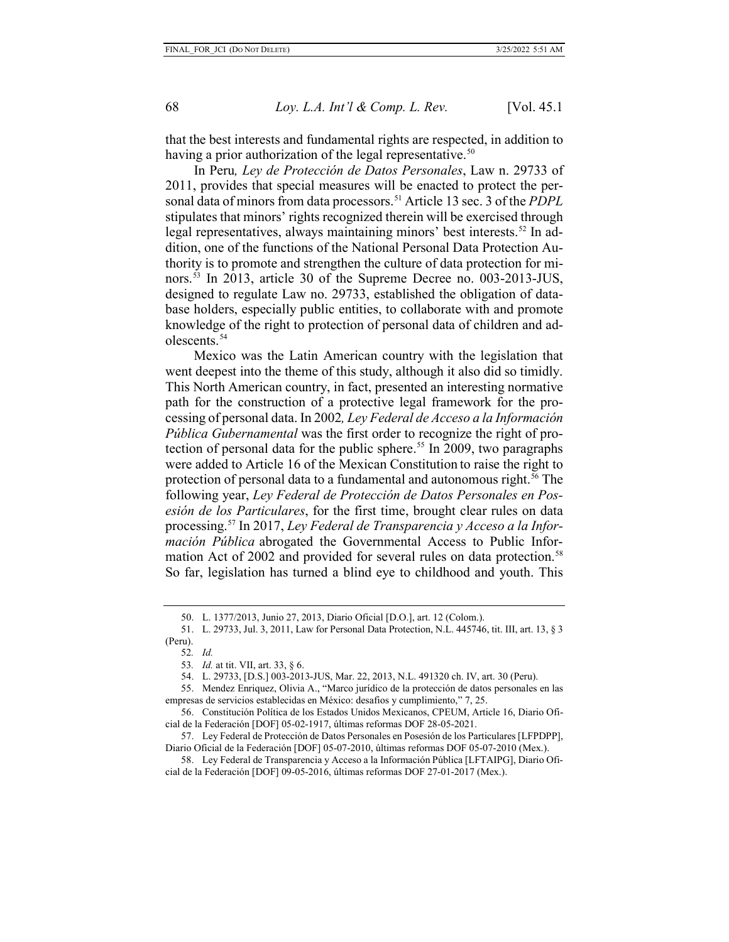that the best interests and fundamental rights are respected, in addition to having a prior authorization of the legal representative.<sup>[50](#page-12-0)</sup>

In Peru*, Ley de Protección de Datos Personales*, Law n. 29733 of 2011, provides that special measures will be enacted to protect the personal data of minors from data processors.[51](#page-12-1) Article 13 sec. 3 of the *PDPL* stipulates that minors' rights recognized therein will be exercised through legal representatives, always maintaining minors' best interests.<sup>[52](#page-12-2)</sup> In addition, one of the functions of the National Personal Data Protection Authority is to promote and strengthen the culture of data protection for minors. [53](#page-12-3) In 2013, article 30 of the Supreme Decree no. 003-2013-JUS, designed to regulate Law no. 29733, established the obligation of database holders, especially public entities, to collaborate with and promote knowledge of the right to protection of personal data of children and ad-olescents.<sup>[54](#page-12-4)</sup>

Mexico was the Latin American country with the legislation that went deepest into the theme of this study, although it also did so timidly. This North American country, in fact, presented an interesting normative path for the construction of a protective legal framework for the processing of personal data. In 2002*, Ley Federal de Acceso a la Información Pública Gubernamental* was the first order to recognize the right of protection of personal data for the public sphere. [55](#page-12-5) In 2009, two paragraphs were added to Article 16 of the Mexican Constitution to raise the right to protection of personal data to a fundamental and autonomous right.<sup>[56](#page-12-6)</sup> The following year, *Ley Federal de Protección de Datos Personales en Posesión de los Particulares*, for the first time, brought clear rules on data processing.[57](#page-12-7) In 2017, *Ley Federal de Transparencia y Acceso a la Información Pública* abrogated the Governmental Access to Public Infor-mation Act of 2002 and provided for several rules on data protection.<sup>[58](#page-12-8)</sup> So far, legislation has turned a blind eye to childhood and youth. This

<sup>50.</sup> L. 1377/2013, Junio 27, 2013, Diario Oficial [D.O.], art. 12 (Colom.).

<span id="page-12-2"></span><span id="page-12-1"></span><span id="page-12-0"></span><sup>51.</sup> L. 29733, Jul. 3, 2011, Law for Personal Data Protection, N.L. 445746, tit. III, art. 13, § 3 (Peru).

<sup>52</sup>*. Id.*

<sup>53</sup>*. Id.* at tit. VII, art. 33, § 6.

<sup>54.</sup> L. 29733, [D.S.] 003-2013-JUS, Mar. 22, 2013, N.L. 491320 ch. IV, art. 30 (Peru).

<span id="page-12-5"></span><span id="page-12-4"></span><span id="page-12-3"></span><sup>55.</sup> Mendez Enriquez, Olivia A., "Marco jurídico de la protección de datos personales en las empresas de servicios establecidas en México: desafios y cumplimiento," 7, 25.

<span id="page-12-6"></span><sup>56.</sup> Constitución Política de los Estados Unidos Mexicanos, CPEUM, Article 16, Diario Oficial de la Federación [DOF] 05-02-1917, últimas reformas DOF 28-05-2021.

<span id="page-12-7"></span><sup>57.</sup> Ley Federal de Protección de Datos Personales en Posesión de los Particulares [LFPDPP], Diario Oficial de la Federación [DOF] 05-07-2010, últimas reformas DOF 05-07-2010 (Mex.).

<span id="page-12-8"></span><sup>58.</sup> Ley Federal de Transparencia y Acceso a la Información Pública [LFTAIPG], Diario Oficial de la Federación [DOF] 09-05-2016, últimas reformas DOF 27-01-2017 (Mex.).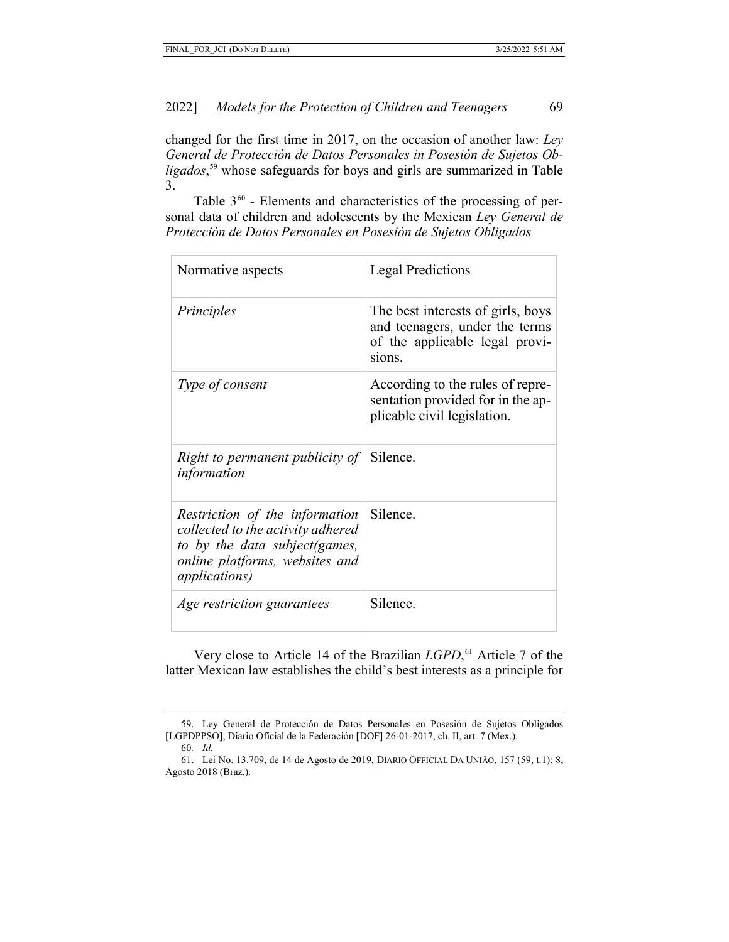changed for the first time in 2017, on the occasion of another law: *Ley General de Protección de Datos Personales in Posesión de Sujetos Obligados*, [59](#page-13-0) whose safeguards for boys and girls are summarized in Table 3.

Table  $3^{60}$  $3^{60}$  $3^{60}$  - Elements and characteristics of the processing of personal data of children and adolescents by the Mexican *Ley General de Protección de Datos Personales en Posesión de Sujetos Obligados*

| Normative aspects                                                                                                                                                | <b>Legal Predictions</b>                                                                                        |
|------------------------------------------------------------------------------------------------------------------------------------------------------------------|-----------------------------------------------------------------------------------------------------------------|
| Principles                                                                                                                                                       | The best interests of girls, boys<br>and teenagers, under the terms<br>of the applicable legal provi-<br>sions. |
| Type of consent                                                                                                                                                  | According to the rules of repre-<br>sentation provided for in the ap-<br>plicable civil legislation.            |
| <i>Right to permanent publicity of</i> Silence.<br>information                                                                                                   |                                                                                                                 |
| Restriction of the information<br>collected to the activity adhered<br>to by the data subject (games,<br>online platforms, websites and<br><i>applications</i> ) | Silence.                                                                                                        |
| Age restriction guarantees                                                                                                                                       | Silence.                                                                                                        |

Very close to Article 14 of the Brazilian *LGPD*, [61](#page-13-2) Article 7 of the latter Mexican law establishes the child's best interests as a principle for

<span id="page-13-0"></span><sup>59.</sup> Ley General de Protección de Datos Personales en Posesión de Sujetos Obligados [LGPDPPSO], Diario Oficial de la Federación [DOF] 26-01-2017, ch. II, art. 7 (Mex.).

<sup>60</sup>*. Id.* 

<span id="page-13-2"></span><span id="page-13-1"></span><sup>61.</sup> Lei No. 13.709, de 14 de Agosto de 2019, DIARIO OFFICIAL DA UNIĀO, 157 (59, t.1): 8, Agosto 2018 (Braz.).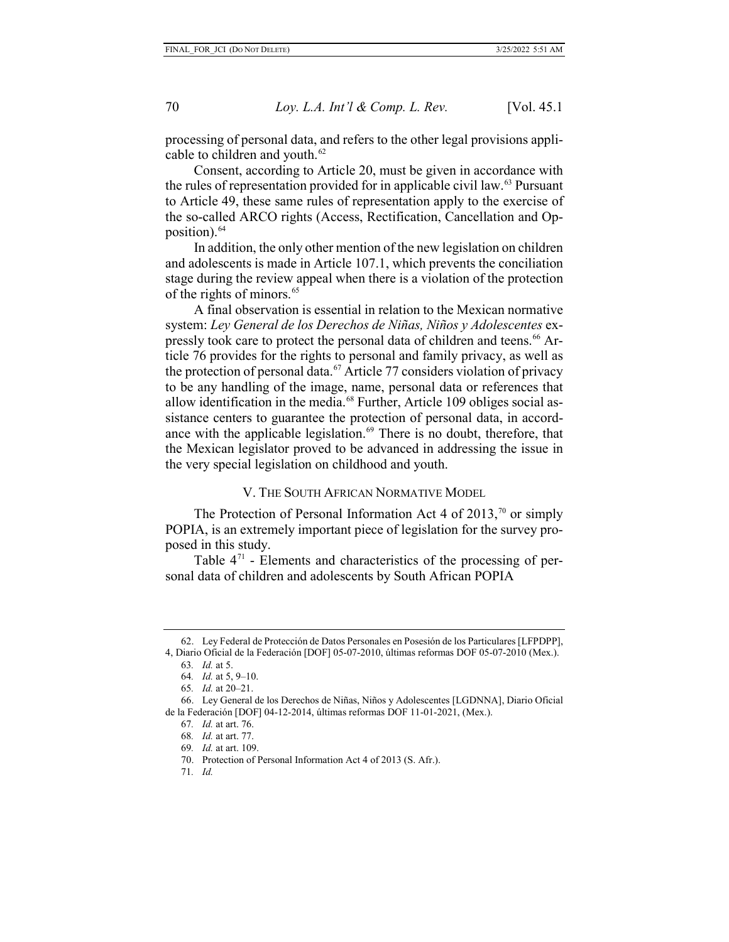processing of personal data, and refers to the other legal provisions applicable to children and youth.<sup>62</sup>

Consent, according to Article 20, must be given in accordance with the rules of representation provided for in applicable civil law. $^{63}$  $^{63}$  $^{63}$  Pursuant to Article 49, these same rules of representation apply to the exercise of the so-called ARCO rights (Access, Rectification, Cancellation and Opposition). $64$ 

In addition, the only other mention of the new legislation on children and adolescents is made in Article 107.1, which prevents the conciliation stage during the review appeal when there is a violation of the protection of the rights of minors.<sup>[65](#page-14-3)</sup>

A final observation is essential in relation to the Mexican normative system: *Ley General de los Derechos de Niñas, Niños y Adolescentes* ex-pressly took care to protect the personal data of children and teens.<sup>[66](#page-14-4)</sup> Article 76 provides for the rights to personal and family privacy, as well as the protection of personal data.<sup>[67](#page-14-5)</sup> Article 77 considers violation of privacy to be any handling of the image, name, personal data or references that allow identification in the media.<sup>[68](#page-14-6)</sup> Further, Article 109 obliges social assistance centers to guarantee the protection of personal data, in accord-ance with the applicable legislation.<sup>[69](#page-14-7)</sup> There is no doubt, therefore, that the Mexican legislator proved to be advanced in addressing the issue in the very special legislation on childhood and youth.

V. THE SOUTH AFRICAN NORMATIVE MODEL

The Protection of Personal Information Act 4 of 2013,<sup>[70](#page-14-8)</sup> or simply POPIA, is an extremely important piece of legislation for the survey proposed in this study.

Table  $4<sup>71</sup>$  $4<sup>71</sup>$  $4<sup>71</sup>$  - Elements and characteristics of the processing of personal data of children and adolescents by South African POPIA

71*. Id.*

<span id="page-14-1"></span><span id="page-14-0"></span><sup>62.</sup> Ley Federal de Protección de Datos Personales en Posesión de los Particulares [LFPDPP], 4, Diario Oficial de la Federación [DOF] 05-07-2010, últimas reformas DOF 05-07-2010 (Mex.).

<sup>63</sup>*. Id.* at 5.

<sup>64</sup>*. Id.* at 5, 9–10.

<sup>65</sup>*. Id.* at 20–21.

<span id="page-14-9"></span><span id="page-14-8"></span><span id="page-14-7"></span><span id="page-14-6"></span><span id="page-14-5"></span><span id="page-14-4"></span><span id="page-14-3"></span><span id="page-14-2"></span><sup>66.</sup> Ley General de los Derechos de Niñas, Niños y Adolescentes [LGDNNA], Diario Oficial de la Federación [DOF] 04-12-2014, últimas reformas DOF 11-01-2021, (Mex.).

<sup>67</sup>*. Id.* at art. 76.

<sup>68</sup>*. Id.* at art. 77.

<sup>69</sup>*. Id.* at art. 109.

<sup>70.</sup> Protection of Personal Information Act 4 of 2013 (S. Afr.).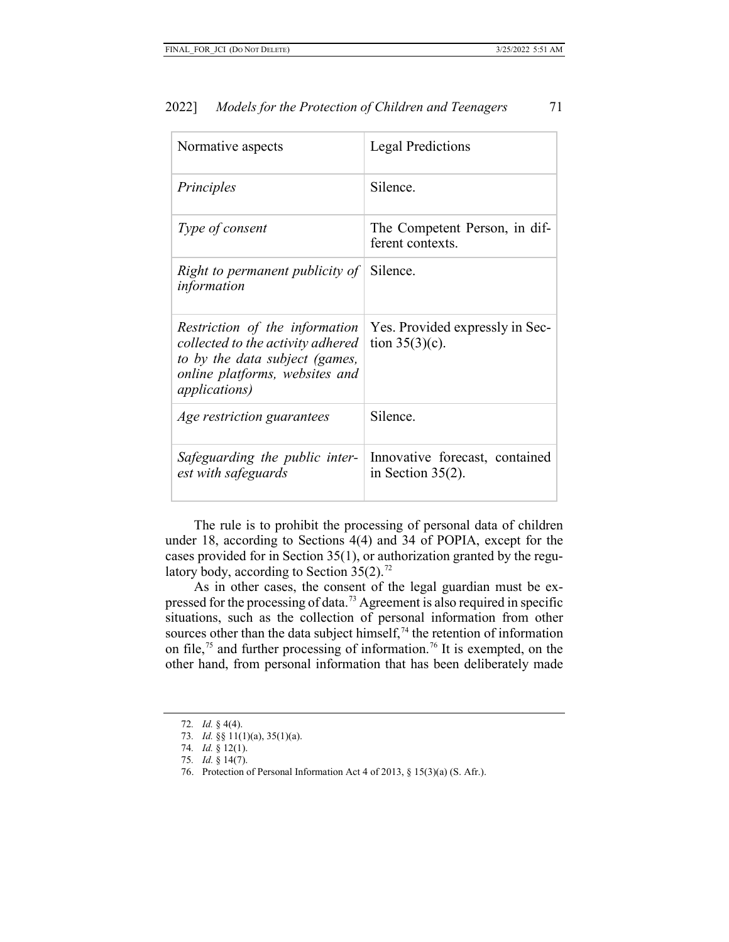| Normative aspects                                                                                                                                                | <b>Legal Predictions</b>                               |
|------------------------------------------------------------------------------------------------------------------------------------------------------------------|--------------------------------------------------------|
| Principles                                                                                                                                                       | Silence.                                               |
| Type of consent                                                                                                                                                  | The Competent Person, in dif-<br>ferent contexts.      |
| Right to permanent publicity of<br>information                                                                                                                   | Silence.                                               |
| Restriction of the information<br>collected to the activity adhered<br>to by the data subject (games,<br>online platforms, websites and<br><i>applications</i> ) | Yes. Provided expressly in Sec-<br>tion $35(3)(c)$ .   |
| Age restriction guarantees                                                                                                                                       | Silence.                                               |
| Safeguarding the public inter-<br>est with safeguards                                                                                                            | Innovative forecast, contained<br>in Section $35(2)$ . |

The rule is to prohibit the processing of personal data of children under 18, according to Sections 4(4) and 34 of POPIA, except for the cases provided for in Section 35(1), or authorization granted by the regulatory body, according to Section  $35(2)$ .<sup>[72](#page-15-0)</sup>

As in other cases, the consent of the legal guardian must be expressed for the processing of data.[73](#page-15-1) Agreement is also required in specific situations, such as the collection of personal information from other sources other than the data subject himself,  $74$  the retention of information on file,<sup>[75](#page-15-3)</sup> and further processing of information.<sup>[76](#page-15-4)</sup> It is exempted, on the other hand, from personal information that has been deliberately made

<sup>72</sup>*. Id.* § 4(4).

<span id="page-15-2"></span><span id="page-15-1"></span><span id="page-15-0"></span><sup>73</sup>*. Id.* §§ 11(1)(a), 35(1)(a).

<sup>74</sup>*. Id.* § 12(1).

<span id="page-15-4"></span><span id="page-15-3"></span><sup>75</sup>*. Id.* § 14(7).

<sup>76.</sup> Protection of Personal Information Act 4 of 2013, § 15(3)(a) (S. Afr.).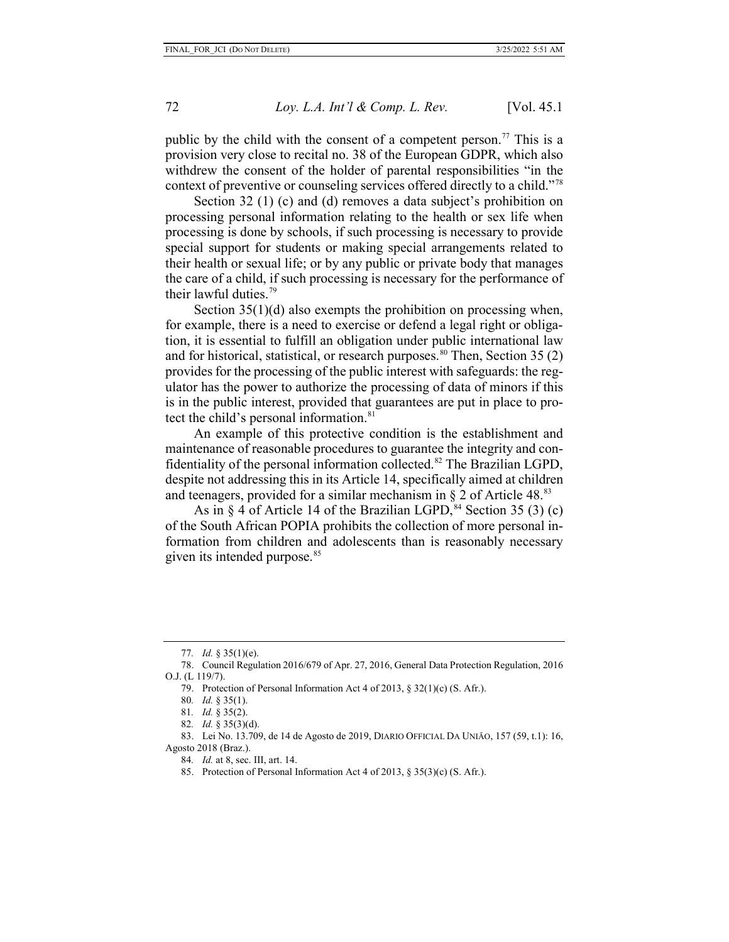public by the child with the consent of a competent person.<sup>[77](#page-16-0)</sup> This is a provision very close to recital no. 38 of the European GDPR, which also withdrew the consent of the holder of parental responsibilities "in the context of preventive or counseling services offered directly to a child."[78](#page-16-1)

Section 32 (1) (c) and (d) removes a data subject's prohibition on processing personal information relating to the health or sex life when processing is done by schools, if such processing is necessary to provide special support for students or making special arrangements related to their health or sexual life; or by any public or private body that manages the care of a child, if such processing is necessary for the performance of their lawful duties.[79](#page-16-2)

Section 35(1)(d) also exempts the prohibition on processing when, for example, there is a need to exercise or defend a legal right or obligation, it is essential to fulfill an obligation under public international law and for historical, statistical, or research purposes. $80$  Then, Section 35 (2) provides for the processing of the public interest with safeguards: the regulator has the power to authorize the processing of data of minors if this is in the public interest, provided that guarantees are put in place to pro-tect the child's personal information.<sup>[81](#page-16-4)</sup>

An example of this protective condition is the establishment and maintenance of reasonable procedures to guarantee the integrity and con-fidentiality of the personal information collected.<sup>[82](#page-16-5)</sup> The Brazilian LGPD, despite not addressing this in its Article 14, specifically aimed at children and teenagers, provided for a similar mechanism in  $\S 2$  of Article 48.<sup>[83](#page-16-6)</sup>

As in  $\frac{6}{7}$  4 of Article 14 of the Brazilian LGPD,  $\frac{84}{7}$  $\frac{84}{7}$  $\frac{84}{7}$  Section 35 (3) (c) of the South African POPIA prohibits the collection of more personal information from children and adolescents than is reasonably necessary given its intended purpose.<sup>[85](#page-16-8)</sup>

80*. Id.* § 35(1).

81*. Id.* § 35(2).

84*. Id.* at 8, sec. III, art. 14.

85. Protection of Personal Information Act 4 of 2013, § 35(3)(c) (S. Afr.).

<sup>77</sup>*. Id.* § 35(1)(e).

<span id="page-16-3"></span><span id="page-16-2"></span><span id="page-16-1"></span><span id="page-16-0"></span><sup>78.</sup> Council Regulation 2016/679 of Apr. 27, 2016, General Data Protection Regulation, 2016 O.J. (L 119/7).

<sup>79.</sup> Protection of Personal Information Act 4 of 2013, § 32(1)(c) (S. Afr.).

<sup>82</sup>*. Id.* § 35(3)(d).

<span id="page-16-8"></span><span id="page-16-7"></span><span id="page-16-6"></span><span id="page-16-5"></span><span id="page-16-4"></span><sup>83.</sup> Lei No. 13.709, de 14 de Agosto de 2019, DIARIO OFFICIAL DA UNIĀO, 157 (59, t.1): 16, Agosto 2018 (Braz.).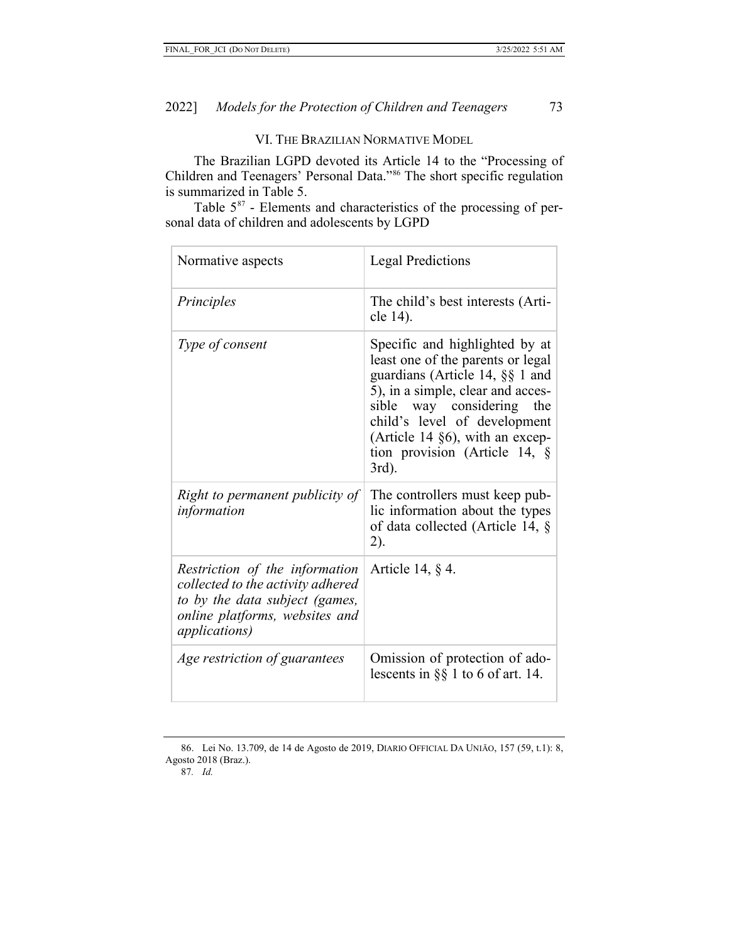## VI. THE BRAZILIAN NORMATIVE MODEL

The Brazilian LGPD devoted its Article 14 to the "Processing of Children and Teenagers' Personal Data."[86](#page-17-0) The short specific regulation is summarized in Table 5.

Table  $5^{87}$  $5^{87}$  $5^{87}$  - Elements and characteristics of the processing of personal data of children and adolescents by LGPD

| Normative aspects                                                                                                                                                | <b>Legal Predictions</b>                                                                                                                                                                                                                                                                    |
|------------------------------------------------------------------------------------------------------------------------------------------------------------------|---------------------------------------------------------------------------------------------------------------------------------------------------------------------------------------------------------------------------------------------------------------------------------------------|
| Principles                                                                                                                                                       | The child's best interests (Arti-<br>cle 14).                                                                                                                                                                                                                                               |
| Type of consent                                                                                                                                                  | Specific and highlighted by at<br>least one of the parents or legal<br>guardians (Article 14, §§ 1 and<br>5), in a simple, clear and acces-<br>sible way considering the<br>child's level of development<br>(Article 14 §6), with an excep-<br>tion provision (Article 14, $\S$<br>$3rd$ ). |
| Right to permanent publicity of<br>information                                                                                                                   | The controllers must keep pub-<br>lic information about the types<br>of data collected (Article 14, §<br>2).                                                                                                                                                                                |
| Restriction of the information<br>collected to the activity adhered<br>to by the data subject (games,<br>online platforms, websites and<br><i>applications</i> ) | Article 14, $\S$ 4.                                                                                                                                                                                                                                                                         |
| Age restriction of guarantees                                                                                                                                    | Omission of protection of ado-<br>lescents in $\S$ 1 to 6 of art. 14.                                                                                                                                                                                                                       |

<span id="page-17-1"></span><span id="page-17-0"></span><sup>86.</sup> Lei No. 13.709, de 14 de Agosto de 2019, DIARIO OFFICIAL DA UNIĀO, 157 (59, t.1): 8, Agosto 2018 (Braz.).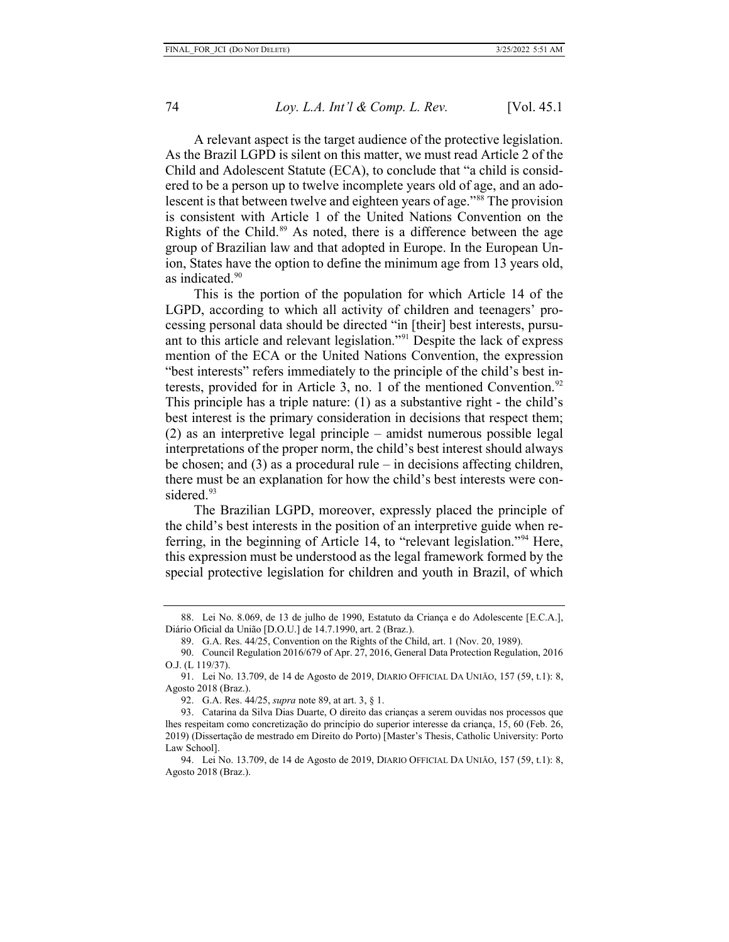A relevant aspect is the target audience of the protective legislation. As the Brazil LGPD is silent on this matter, we must read Article 2 of the Child and Adolescent Statute (ECA), to conclude that "a child is considered to be a person up to twelve incomplete years old of age, and an ado-lescent is that between twelve and eighteen years of age."<sup>[88](#page-18-0)</sup> The provision is consistent with Article 1 of the United Nations Convention on the Rights of the Child.<sup>[89](#page-18-1)</sup> As noted, there is a difference between the age group of Brazilian law and that adopted in Europe. In the European Union, States have the option to define the minimum age from 13 years old, as indicated.<sup>[90](#page-18-2)</sup>

This is the portion of the population for which Article 14 of the LGPD, according to which all activity of children and teenagers' processing personal data should be directed "in [their] best interests, pursuant to this article and relevant legislation.["91](#page-18-3) Despite the lack of express mention of the ECA or the United Nations Convention, the expression "best interests" refers immediately to the principle of the child's best in-terests, provided for in Article 3, no. 1 of the mentioned Convention.<sup>[92](#page-18-4)</sup> This principle has a triple nature: (1) as a substantive right - the child's best interest is the primary consideration in decisions that respect them; (2) as an interpretive legal principle – amidst numerous possible legal interpretations of the proper norm, the child's best interest should always be chosen; and  $(3)$  as a procedural rule – in decisions affecting children, there must be an explanation for how the child's best interests were con-sidered.<sup>[93](#page-18-5)</sup>

The Brazilian LGPD, moreover, expressly placed the principle of the child's best interests in the position of an interpretive guide when referring, in the beginning of Article 14, to "relevant legislation."[94](#page-18-6) Here, this expression must be understood as the legal framework formed by the special protective legislation for children and youth in Brazil, of which

<span id="page-18-0"></span><sup>88.</sup> Lei No. 8.069, de 13 de julho de 1990, Estatuto da Criança e do Adolescente [E.C.A.], Diário Oficial da União [D.O.U.] de 14.7.1990, art. 2 (Braz.).

<sup>89.</sup> G.A. Res. 44/25, Convention on the Rights of the Child, art. 1 (Nov. 20, 1989).

<span id="page-18-2"></span><span id="page-18-1"></span><sup>90.</sup> Council Regulation 2016/679 of Apr. 27, 2016, General Data Protection Regulation, 2016 O.J. (L 119/37).

<span id="page-18-3"></span><sup>91.</sup> Lei No. 13.709, de 14 de Agosto de 2019, DIARIO OFFICIAL DA UNIĀO, 157 (59, t.1): 8, Agosto 2018 (Braz.).

<sup>92.</sup> G.A. Res. 44/25, *supra* note 89, at art. 3, § 1.

<span id="page-18-5"></span><span id="page-18-4"></span><sup>93.</sup> Catarina da Silva Dias Duarte, O direito das crianças a serem ouvidas nos processos que lhes respeitam como concretização do princípio do superior interesse da criança, 15, 60 (Feb. 26, 2019) (Dissertação de mestrado em Direito do Porto) [Master's Thesis, Catholic University: Porto Law School].

<span id="page-18-6"></span><sup>94.</sup> Lei No. 13.709, de 14 de Agosto de 2019, DIARIO OFFICIAL DA UNIĀO, 157 (59, t.1): 8, Agosto 2018 (Braz.).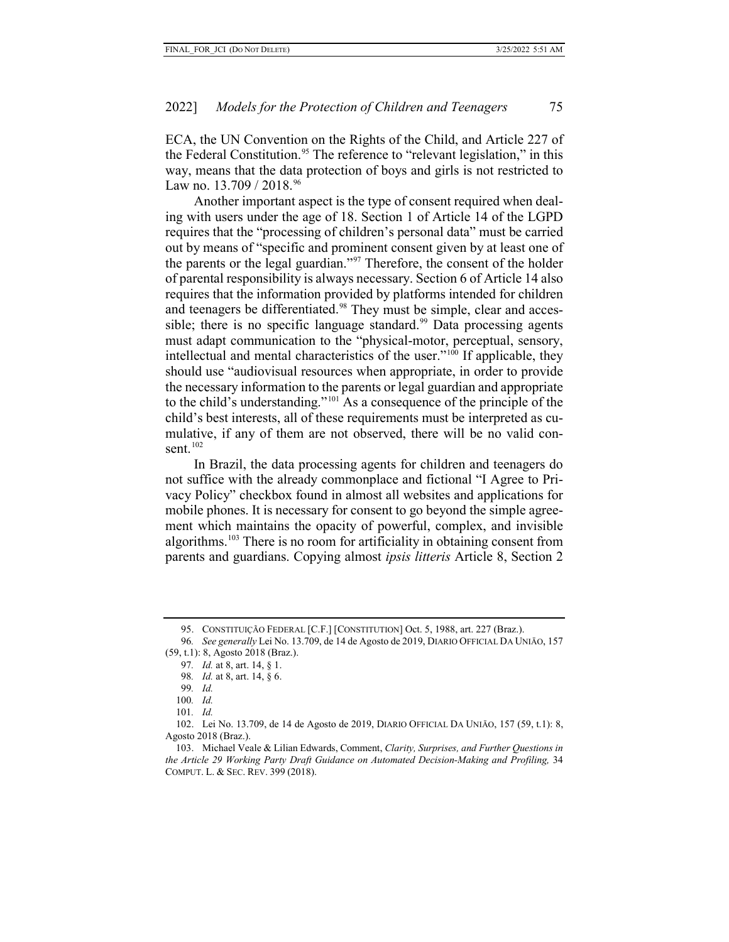ECA, the UN Convention on the Rights of the Child, and Article 227 of the Federal Constitution. [95](#page-19-0) The reference to "relevant legislation," in this way, means that the data protection of boys and girls is not restricted to Law no.  $13.709 / 2018^{96}$  $13.709 / 2018^{96}$  $13.709 / 2018^{96}$ 

Another important aspect is the type of consent required when dealing with users under the age of 18. Section 1 of Article 14 of the LGPD requires that the "processing of children's personal data" must be carried out by means of "specific and prominent consent given by at least one of the parents or the legal guardian."<sup>[97](#page-19-2)</sup> Therefore, the consent of the holder of parental responsibility is always necessary. Section 6 of Article 14 also requires that the information provided by platforms intended for children and teenagers be differentiated.<sup>[98](#page-19-3)</sup> They must be simple, clear and acces-sible; there is no specific language standard.<sup>[99](#page-19-4)</sup> Data processing agents must adapt communication to the "physical-motor, perceptual, sensory, intellectual and mental characteristics of the user.["100](#page-19-5) If applicable, they should use "audiovisual resources when appropriate, in order to provide the necessary information to the parents or legal guardian and appropriate to the child's understanding."[101](#page-19-6) As a consequence of the principle of the child's best interests, all of these requirements must be interpreted as cumulative, if any of them are not observed, there will be no valid consent. $102$ 

In Brazil, the data processing agents for children and teenagers do not suffice with the already commonplace and fictional "I Agree to Privacy Policy" checkbox found in almost all websites and applications for mobile phones. It is necessary for consent to go beyond the simple agreement which maintains the opacity of powerful, complex, and invisible algorithms. [103](#page-19-8) There is no room for artificiality in obtaining consent from parents and guardians. Copying almost *ipsis litteris* Article 8, Section 2

101*. Id.* 

<sup>95.</sup> CONSTITUIÇÃO FEDERAL [C.F.] [CONSTITUTION] Oct. 5, 1988, art. 227 (Braz.).

<span id="page-19-3"></span><span id="page-19-2"></span><span id="page-19-1"></span><span id="page-19-0"></span><sup>96</sup>*. See generally* Lei No. 13.709, de 14 de Agosto de 2019, DIARIO OFFICIAL DA UNIĀO, 157 (59, t.1): 8, Agosto 2018 (Braz.).

<sup>97</sup>*. Id.* at 8, art. 14, § 1.

<sup>98</sup>*. Id.* at 8, art. 14, § 6.

<sup>99</sup>*. Id.* 

<sup>100</sup>*. Id.* 

<span id="page-19-7"></span><span id="page-19-6"></span><span id="page-19-5"></span><span id="page-19-4"></span><sup>102.</sup> Lei No. 13.709, de 14 de Agosto de 2019, DIARIO OFFICIAL DA UNIĀO, 157 (59, t.1): 8, Agosto 2018 (Braz.).

<span id="page-19-8"></span><sup>103.</sup> Michael Veale & Lilian Edwards, Comment, *Clarity, Surprises, and Further Questions in the Article 29 Working Party Draft Guidance on Automated Decision-Making and Profiling,* 34 COMPUT. L. & SEC. REV. 399 (2018).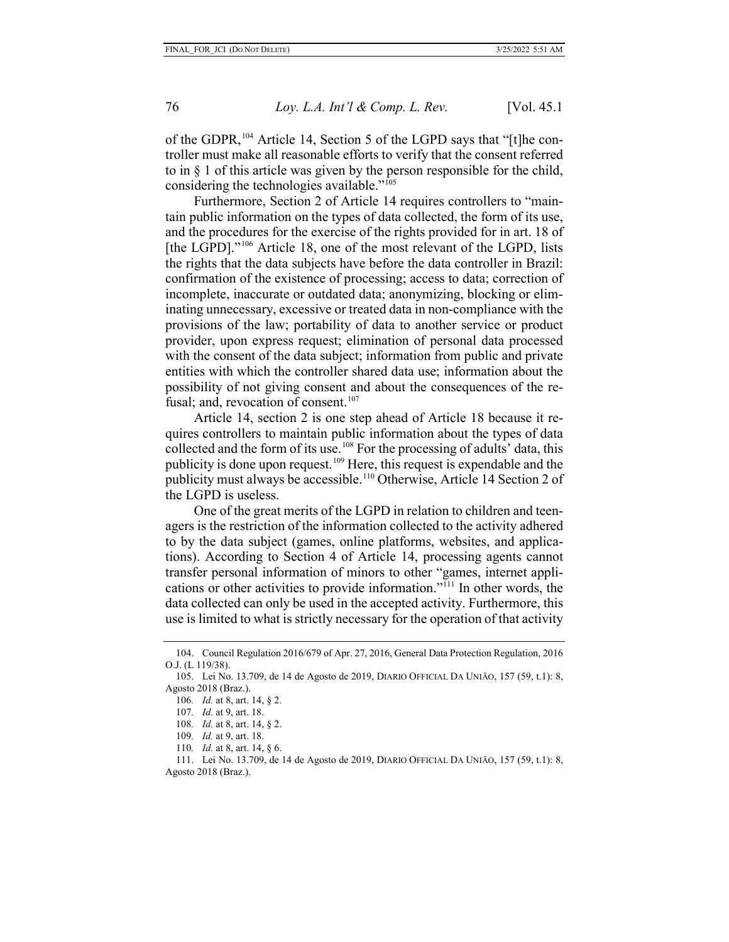of the GDPR,<sup>[104](#page-20-0)</sup> Article 14, Section 5 of the LGPD says that "[t]he controller must make all reasonable efforts to verify that the consent referred to in § 1 of this article was given by the person responsible for the child, considering the technologies available." $105$ 

Furthermore, Section 2 of Article 14 requires controllers to "maintain public information on the types of data collected, the form of its use, and the procedures for the exercise of the rights provided for in art. 18 of [the LGPD]."<sup>[106](#page-20-2)</sup> Article 18, one of the most relevant of the LGPD, lists the rights that the data subjects have before the data controller in Brazil: confirmation of the existence of processing; access to data; correction of incomplete, inaccurate or outdated data; anonymizing, blocking or eliminating unnecessary, excessive or treated data in non-compliance with the provisions of the law; portability of data to another service or product provider, upon express request; elimination of personal data processed with the consent of the data subject; information from public and private entities with which the controller shared data use; information about the possibility of not giving consent and about the consequences of the refusal; and, revocation of consent. $107$ 

Article 14, section 2 is one step ahead of Article 18 because it requires controllers to maintain public information about the types of data collected and the form of its use.[108](#page-20-4) For the processing of adults' data, this publicity is done upon request.[109](#page-20-5) Here, this request is expendable and the publicity must always be accessible.<sup>[110](#page-20-6)</sup> Otherwise, Article 14 Section 2 of the LGPD is useless.

One of the great merits of the LGPD in relation to children and teenagers is the restriction of the information collected to the activity adhered to by the data subject (games, online platforms, websites, and applications). According to Section 4 of Article 14, processing agents cannot transfer personal information of minors to other "games, internet applications or other activities to provide information."[111](#page-20-7) In other words, the data collected can only be used in the accepted activity. Furthermore, this use is limited to what is strictly necessary for the operation of that activity

<span id="page-20-0"></span><sup>104.</sup> Council Regulation 2016/679 of Apr. 27, 2016, General Data Protection Regulation, 2016 O.J. (L 119/38).

<span id="page-20-3"></span><span id="page-20-2"></span><span id="page-20-1"></span><sup>105.</sup> Lei No. 13.709, de 14 de Agosto de 2019, DIARIO OFFICIAL DA UNIĀO, 157 (59, t.1): 8, Agosto 2018 (Braz.).

<sup>106</sup>*. Id.* at 8, art. 14, § 2.

<sup>107</sup>*. Id.* at 9, art. 18.

<sup>108</sup>*. Id.* at 8, art. 14, § 2.

<sup>109</sup>*. Id.* at 9, art. 18.

<sup>110</sup>*. Id.* at 8, art. 14, § 6.

<span id="page-20-7"></span><span id="page-20-6"></span><span id="page-20-5"></span><span id="page-20-4"></span><sup>111.</sup> Lei No. 13.709, de 14 de Agosto de 2019, DIARIO OFFICIAL DA UNIĀO, 157 (59, t.1): 8, Agosto 2018 (Braz.).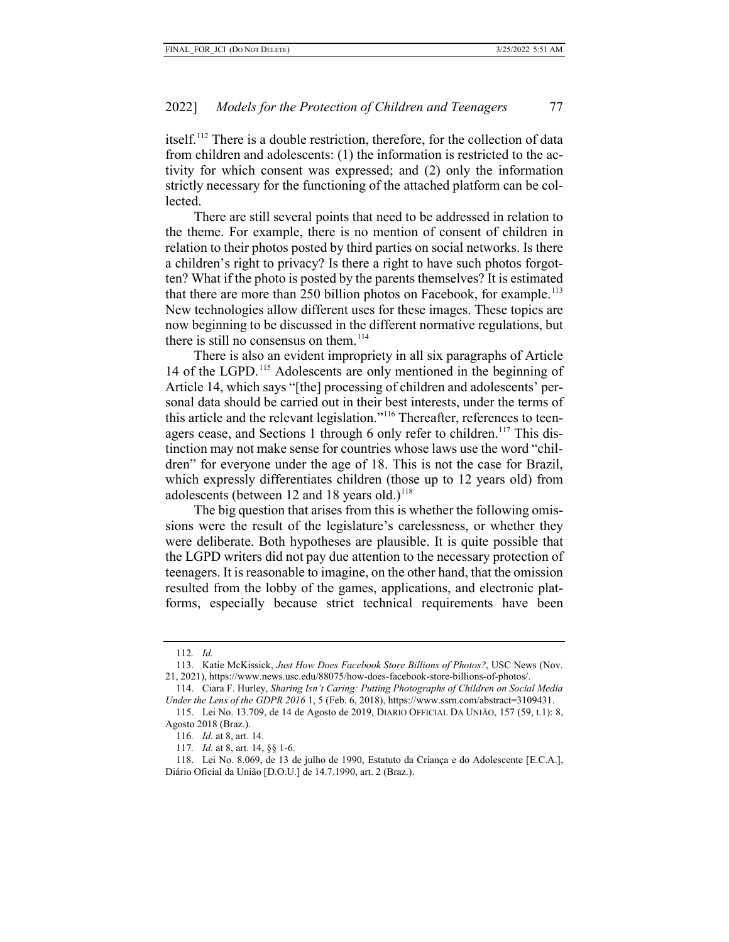itself.<sup>[112](#page-21-0)</sup> There is a double restriction, therefore, for the collection of data from children and adolescents: (1) the information is restricted to the activity for which consent was expressed; and (2) only the information strictly necessary for the functioning of the attached platform can be collected.

There are still several points that need to be addressed in relation to the theme. For example, there is no mention of consent of children in relation to their photos posted by third parties on social networks. Is there a children's right to privacy? Is there a right to have such photos forgotten? What if the photo is posted by the parents themselves? It is estimated that there are more than 250 billion photos on Facebook, for example.<sup>[113](#page-21-1)</sup> New technologies allow different uses for these images. These topics are now beginning to be discussed in the different normative regulations, but there is still no consensus on them.<sup>[114](#page-21-2)</sup>

There is also an evident impropriety in all six paragraphs of Article 14 of the LGPD.<sup>[115](#page-21-3)</sup> Adolescents are only mentioned in the beginning of Article 14, which says "[the] processing of children and adolescents' personal data should be carried out in their best interests, under the terms of this article and the relevant legislation."[116](#page-21-4) Thereafter, references to teen-agers cease, and Sections 1 through 6 only refer to children.<sup>[117](#page-21-5)</sup> This distinction may not make sense for countries whose laws use the word "children" for everyone under the age of 18. This is not the case for Brazil, which expressly differentiates children (those up to 12 years old) from adolescents (between 12 and 18 years old.)<sup>[118](#page-21-6)</sup>

The big question that arises from this is whether the following omissions were the result of the legislature's carelessness, or whether they were deliberate. Both hypotheses are plausible. It is quite possible that the LGPD writers did not pay due attention to the necessary protection of teenagers. It is reasonable to imagine, on the other hand, that the omission resulted from the lobby of the games, applications, and electronic platforms, especially because strict technical requirements have been

<sup>112</sup>*. Id.* 

<span id="page-21-1"></span><span id="page-21-0"></span><sup>113.</sup> Katie McKissick, *Just How Does Facebook Store Billions of Photos?*, USC News (Nov. 21, 2021), https://www.news.usc.edu/88075/how-does-facebook-store-billions-of-photos/.

<span id="page-21-2"></span><sup>114.</sup> Ciara F. Hurley, *Sharing Isn't Caring: Putting Photographs of Children on Social Media Under the Lens of the GDPR 2016* 1, 5 (Feb. 6, 2018), https://www.ssrn.com/abstract=3109431.

<span id="page-21-4"></span><span id="page-21-3"></span><sup>115.</sup> Lei No. 13.709, de 14 de Agosto de 2019, DIARIO OFFICIAL DA UNIĀO, 157 (59, t.1): 8, Agosto 2018 (Braz.).

<sup>116</sup>*. Id.* at 8, art. 14.

<sup>117</sup>*. Id.* at 8, art. 14, §§ 1-6.

<span id="page-21-6"></span><span id="page-21-5"></span><sup>118.</sup> Lei No. 8.069, de 13 de julho de 1990, Estatuto da Criança e do Adolescente [E.C.A.], Diário Oficial da União [D.O.U.] de 14.7.1990, art. 2 (Braz.).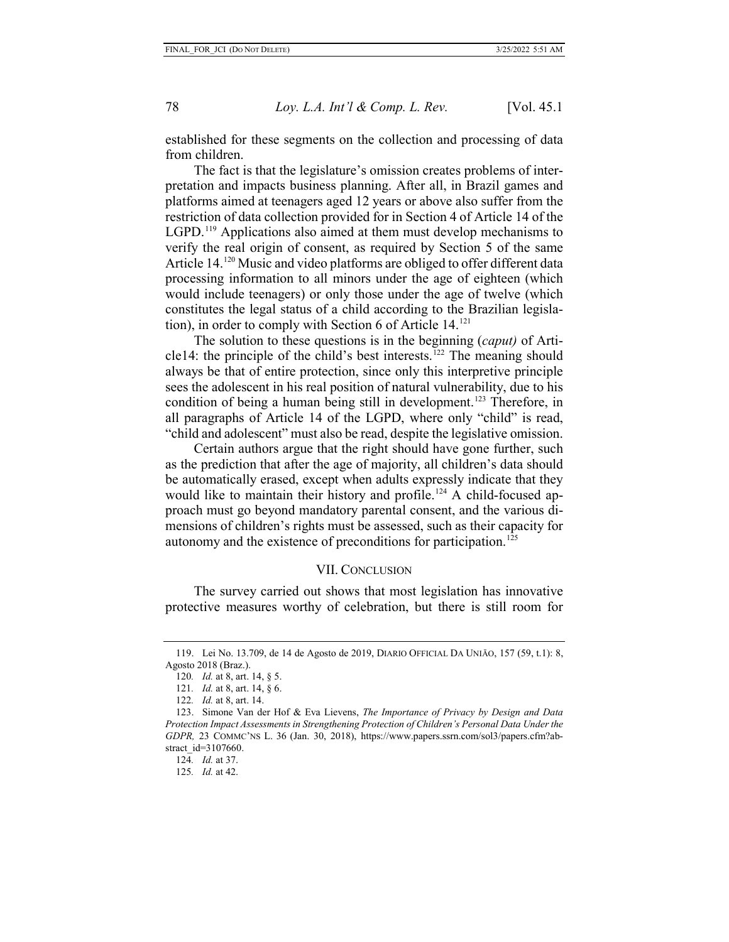established for these segments on the collection and processing of data from children.

The fact is that the legislature's omission creates problems of interpretation and impacts business planning. After all, in Brazil games and platforms aimed at teenagers aged 12 years or above also suffer from the restriction of data collection provided for in Section 4 of Article 14 of the LGPD.<sup>[119](#page-22-0)</sup> Applications also aimed at them must develop mechanisms to verify the real origin of consent, as required by Section 5 of the same Article 14.<sup>[120](#page-22-1)</sup> Music and video platforms are obliged to offer different data processing information to all minors under the age of eighteen (which would include teenagers) or only those under the age of twelve (which constitutes the legal status of a child according to the Brazilian legislation), in order to comply with Section 6 of Article 14. [121](#page-22-2)

The solution to these questions is in the beginning (*caput)* of Arti-cle14: the principle of the child's best interests.<sup>[122](#page-22-3)</sup> The meaning should always be that of entire protection, since only this interpretive principle sees the adolescent in his real position of natural vulnerability, due to his condition of being a human being still in development.<sup>[123](#page-22-4)</sup> Therefore, in all paragraphs of Article 14 of the LGPD, where only "child" is read, "child and adolescent" must also be read, despite the legislative omission.

Certain authors argue that the right should have gone further, such as the prediction that after the age of majority, all children's data should be automatically erased, except when adults expressly indicate that they would like to maintain their history and profile.<sup>[124](#page-22-5)</sup> A child-focused approach must go beyond mandatory parental consent, and the various dimensions of children's rights must be assessed, such as their capacity for autonomy and the existence of preconditions for participation.<sup>[125](#page-22-6)</sup>

#### VII. CONCLUSION

The survey carried out shows that most legislation has innovative protective measures worthy of celebration, but there is still room for

<span id="page-22-1"></span><span id="page-22-0"></span><sup>119.</sup> Lei No. 13.709, de 14 de Agosto de 2019, DIARIO OFFICIAL DA UNIĀO, 157 (59, t.1): 8, Agosto 2018 (Braz.).

<sup>120</sup>*. Id.* at 8, art. 14, § 5.

<sup>121</sup>*. Id.* at 8, art. 14, § 6.

<sup>122</sup>*. Id.* at 8, art. 14.

<span id="page-22-6"></span><span id="page-22-5"></span><span id="page-22-4"></span><span id="page-22-3"></span><span id="page-22-2"></span><sup>123.</sup> Simone Van der Hof & Eva Lievens, *The Importance of Privacy by Design and Data Protection Impact Assessments in Strengthening Protection of Children's Personal Data Under the GDPR,* 23 COMMC'NS L. 36 (Jan. 30, 2018), https://www.papers.ssrn.com/sol3/papers.cfm?abstract\_id=3107660.

<sup>124</sup>*. Id.* at 37.

<sup>125</sup>*. Id.* at 42.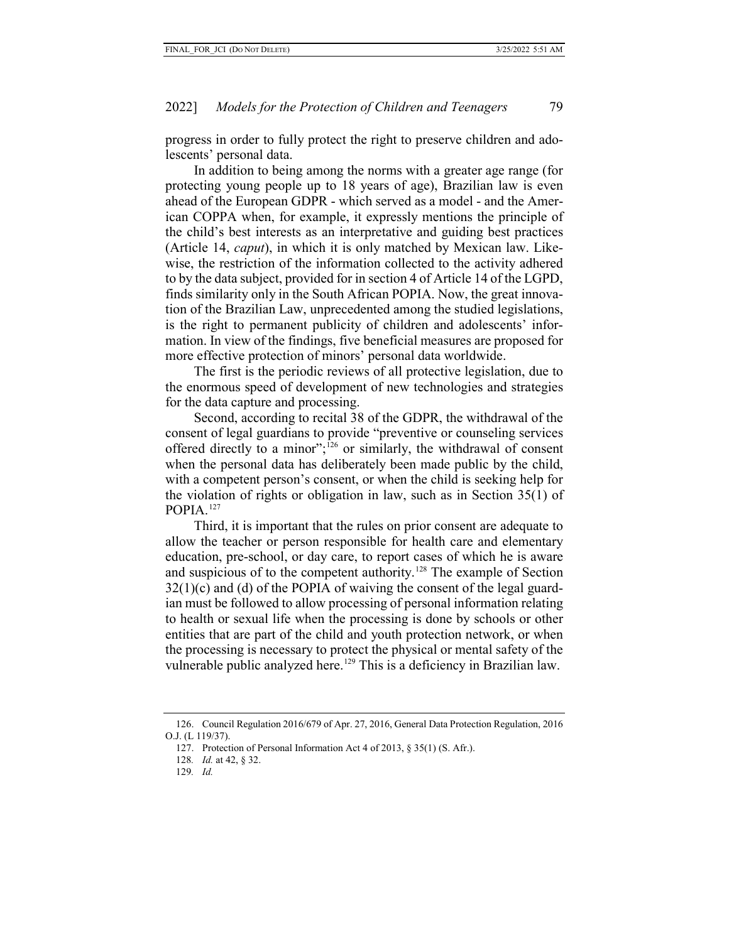progress in order to fully protect the right to preserve children and adolescents' personal data.

In addition to being among the norms with a greater age range (for protecting young people up to 18 years of age), Brazilian law is even ahead of the European GDPR - which served as a model - and the American COPPA when, for example, it expressly mentions the principle of the child's best interests as an interpretative and guiding best practices (Article 14, *caput*), in which it is only matched by Mexican law. Likewise, the restriction of the information collected to the activity adhered to by the data subject, provided for in section 4 of Article 14 of the LGPD, finds similarity only in the South African POPIA. Now, the great innovation of the Brazilian Law, unprecedented among the studied legislations, is the right to permanent publicity of children and adolescents' information. In view of the findings, five beneficial measures are proposed for more effective protection of minors' personal data worldwide.

The first is the periodic reviews of all protective legislation, due to the enormous speed of development of new technologies and strategies for the data capture and processing.

Second, according to recital 38 of the GDPR, the withdrawal of the consent of legal guardians to provide "preventive or counseling services offered directly to a minor";<sup>[126](#page-23-0)</sup> or similarly, the withdrawal of consent when the personal data has deliberately been made public by the child, with a competent person's consent, or when the child is seeking help for the violation of rights or obligation in law, such as in Section 35(1) of POPIA. [127](#page-23-1)

Third, it is important that the rules on prior consent are adequate to allow the teacher or person responsible for health care and elementary education, pre-school, or day care, to report cases of which he is aware and suspicious of to the competent authority.<sup>[128](#page-23-2)</sup> The example of Section 32(1)(c) and (d) of the POPIA of waiving the consent of the legal guardian must be followed to allow processing of personal information relating to health or sexual life when the processing is done by schools or other entities that are part of the child and youth protection network, or when the processing is necessary to protect the physical or mental safety of the vulnerable public analyzed here.<sup>[129](#page-23-3)</sup> This is a deficiency in Brazilian law.

<span id="page-23-3"></span><span id="page-23-2"></span><span id="page-23-1"></span><span id="page-23-0"></span><sup>126.</sup> Council Regulation 2016/679 of Apr. 27, 2016, General Data Protection Regulation, 2016 O.J. (L 119/37).

<sup>127.</sup> Protection of Personal Information Act 4 of 2013, § 35(1) (S. Afr.).

<sup>128</sup>*. Id.* at 42, § 32.

<sup>129</sup>*. Id.*